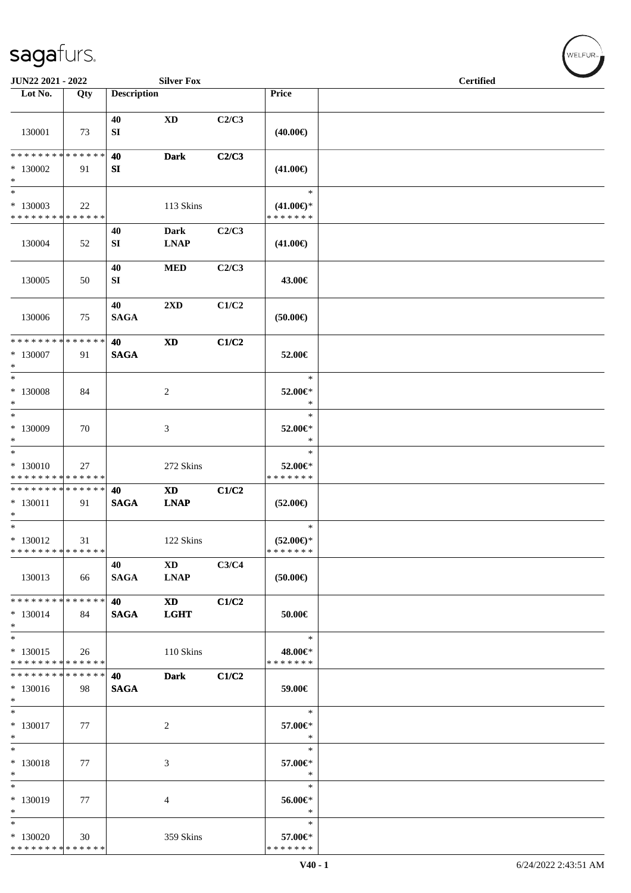| JUN22 2021 - 2022                                        |     |                    | <b>Silver Fox</b>                         |       |                                                | <b>Certified</b> |  |
|----------------------------------------------------------|-----|--------------------|-------------------------------------------|-------|------------------------------------------------|------------------|--|
| Lot No.                                                  | Qty | <b>Description</b> |                                           |       | Price                                          |                  |  |
| 130001                                                   | 73  | 40<br>SI           | <b>XD</b>                                 | C2/C3 | $(40.00\epsilon)$                              |                  |  |
| * * * * * * * * * * * * * *                              |     | 40                 | <b>Dark</b>                               | C2/C3 |                                                |                  |  |
| $*130002$<br>$\ast$<br>$\ast$                            | 91  | SI                 |                                           |       | $(41.00\epsilon)$<br>$\ast$                    |                  |  |
| $*130003$<br>* * * * * * * * * * * * * *                 | 22  |                    | 113 Skins                                 |       | $(41.00\epsilon)$ *<br>* * * * * * *           |                  |  |
| 130004                                                   | 52  | 40<br>SI           | <b>Dark</b><br><b>LNAP</b>                | C2/C3 | $(41.00\epsilon)$                              |                  |  |
| 130005                                                   | 50  | 40<br>SI           | $\bf MED$                                 | C2/C3 | 43.00€                                         |                  |  |
| 130006                                                   | 75  | 40<br><b>SAGA</b>  | 2XD                                       | C1/C2 | (50.00)                                        |                  |  |
| * * * * * * * * * * * * * *<br>$*130007$<br>$\ast$       | 91  | 40<br><b>SAGA</b>  | $\boldsymbol{\mathrm{XD}}$                | C1/C2 | 52.00€                                         |                  |  |
| $\overline{\ast}$<br>$*130008$<br>$\ast$                 | 84  |                    | $\overline{c}$                            |       | $\ast$<br>52.00€*<br>$\ast$                    |                  |  |
| $\ast$<br>* 130009<br>$\ast$                             | 70  |                    | 3                                         |       | $\ast$<br>52.00€*<br>$\ast$                    |                  |  |
| $_{\ast}^{-}$<br>* 130010<br>* * * * * * * * * * * * * * | 27  |                    | 272 Skins                                 |       | $\ast$<br>52.00€*<br>* * * * * * *             |                  |  |
| * * * * * * * * * * * * * *<br>$* 130011$<br>$\ast$      | 91  | 40<br><b>SAGA</b>  | $\boldsymbol{\mathrm{XD}}$<br><b>LNAP</b> | C1/C2 | $(52.00\epsilon)$                              |                  |  |
| $*$<br>$* 130012$<br>* * * * * * * * * * * * * *         | 31  |                    | 122 Skins                                 |       | $\ast$<br>$(52.00\epsilon)$ *<br>* * * * * * * |                  |  |
| 130013                                                   | 66  | 40<br><b>SAGA</b>  | <b>XD</b><br><b>LNAP</b>                  | C3/C4 | $(50.00\epsilon)$                              |                  |  |
| * * * * * * * * * * * * * *<br>$*130014$<br>$\ast$       | 84  | 40<br><b>SAGA</b>  | <b>XD</b><br><b>LGHT</b>                  | C1/C2 | 50.00€                                         |                  |  |
| $\ast$<br>$*130015$<br>* * * * * * * * * * * * * *       | 26  |                    | 110 Skins                                 |       | $\ast$<br>48.00€*<br>* * * * * * *             |                  |  |
| * * * * * * * * * * * * * *<br>$*130016$<br>$\ast$       | 98  | 40<br><b>SAGA</b>  | <b>Dark</b>                               | C1/C2 | 59.00€                                         |                  |  |
| $\ast$<br>$* 130017$<br>$\ast$                           | 77  |                    | $\overline{c}$                            |       | $\ast$<br>57.00€*<br>$\ast$                    |                  |  |
| $\ast$<br>$* 130018$<br>$\ast$                           | 77  |                    | 3                                         |       | $\ast$<br>57.00€*<br>$\ast$                    |                  |  |
| $\ast$<br>* 130019<br>$\ast$                             | 77  |                    | 4                                         |       | $\ast$<br>56.00€*<br>$\ast$                    |                  |  |
| $\ast$<br>$*130020$<br>* * * * * * * * * * * * * *       | 30  |                    | 359 Skins                                 |       | $\ast$<br>57.00€*<br>* * * * * * *             |                  |  |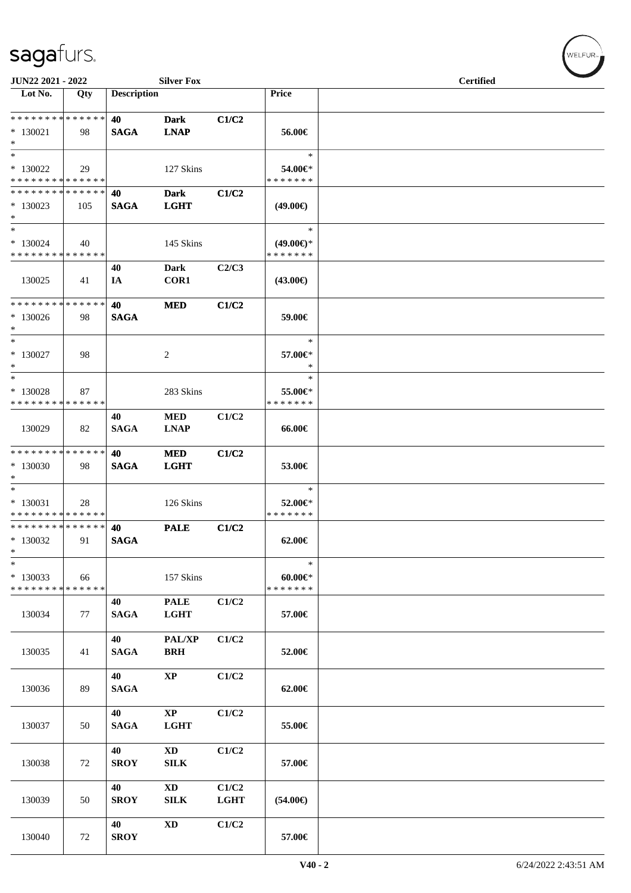| JUN22 2021 - 2022                                   |     |                    | <b>Silver Fox</b>              |                      |                                                | <b>Certified</b> |  |
|-----------------------------------------------------|-----|--------------------|--------------------------------|----------------------|------------------------------------------------|------------------|--|
| Lot No.                                             | Qty | <b>Description</b> |                                |                      | Price                                          |                  |  |
| * * * * * * * * * * * * * *<br>$*130021$<br>$*$     | 98  | 40<br><b>SAGA</b>  | <b>Dark</b><br><b>LNAP</b>     | C1/C2                | 56.00€                                         |                  |  |
| $\ast$<br>$*130022$<br>* * * * * * * * * * * * * *  | 29  |                    | 127 Skins                      |                      | $\ast$<br>54.00€*<br>* * * * * * *             |                  |  |
| * * * * * * * * * * * * * *<br>$*130023$<br>$*$     | 105 | 40<br><b>SAGA</b>  | <b>Dark</b><br><b>LGHT</b>     | C1/C2                | $(49.00\epsilon)$                              |                  |  |
| $\ast$<br>* 130024<br>* * * * * * * * * * * * * *   | 40  |                    | 145 Skins                      |                      | $\ast$<br>$(49.00\epsilon)$ *<br>* * * * * * * |                  |  |
| 130025                                              | 41  | 40<br>IA           | Dark<br>COR1                   | C2/C3                | $(43.00\epsilon)$                              |                  |  |
| * * * * * * * * * * * * * *<br>$*130026$<br>$\ast$  | 98  | 40<br><b>SAGA</b>  | <b>MED</b>                     | C1/C2                | 59.00€                                         |                  |  |
| $\ast$<br>$*130027$<br>$\ast$                       | 98  |                    | 2                              |                      | $\ast$<br>57.00€*<br>∗                         |                  |  |
| $\ast$<br>* 130028<br>* * * * * * * * * * * * * *   | 87  |                    | 283 Skins                      |                      | $\ast$<br>55.00€*<br>* * * * * * *             |                  |  |
| 130029                                              | 82  | 40<br><b>SAGA</b>  | <b>MED</b><br><b>LNAP</b>      | C1/C2                | 66.00€                                         |                  |  |
| * * * * * * * * * * * * * *<br>$*130030$<br>$*$     | 98  | 40<br><b>SAGA</b>  | <b>MED</b><br><b>LGHT</b>      | C1/C2                | 53.00€                                         |                  |  |
| $\ast$<br>$* 130031$<br>* * * * * * * * * * * * * * | 28  |                    | 126 Skins                      |                      | $\ast$<br>52.00€*<br>* * * * * * *             |                  |  |
| * * * * * * * * * * * * * *<br>$*130032$<br>*       | 91  | 40<br><b>SAGA</b>  | <b>PALE</b>                    | C1/C2                | 62.00€                                         |                  |  |
| $\ast$<br>* 130033<br>* * * * * * * * * * * * * *   | 66  |                    | 157 Skins                      |                      | $\ast$<br>$60.00 \in$<br>* * * * * * *         |                  |  |
| 130034                                              | 77  | 40<br><b>SAGA</b>  | <b>PALE</b><br><b>LGHT</b>     | C1/C2                | 57.00€                                         |                  |  |
| 130035                                              | 41  | 40<br><b>SAGA</b>  | PAL/XP<br><b>BRH</b>           | C1/C2                | 52.00€                                         |                  |  |
| 130036                                              | 89  | 40<br><b>SAGA</b>  | $\bold{XP}$                    | C1/C2                | 62.00€                                         |                  |  |
| 130037                                              | 50  | 40<br><b>SAGA</b>  | $\bold{XP}$<br><b>LGHT</b>     | C1/C2                | 55.00€                                         |                  |  |
| 130038                                              | 72  | 40<br><b>SROY</b>  | $\mathbf{X}\mathbf{D}$<br>SILK | C1/C2                | 57.00€                                         |                  |  |
| 130039                                              | 50  | 40<br><b>SROY</b>  | <b>XD</b><br>SILK              | C1/C2<br><b>LGHT</b> | $(54.00\epsilon)$                              |                  |  |
| 130040                                              | 72  | 40<br><b>SROY</b>  | $\mathbf{X}\mathbf{D}$         | C1/C2                | 57.00€                                         |                  |  |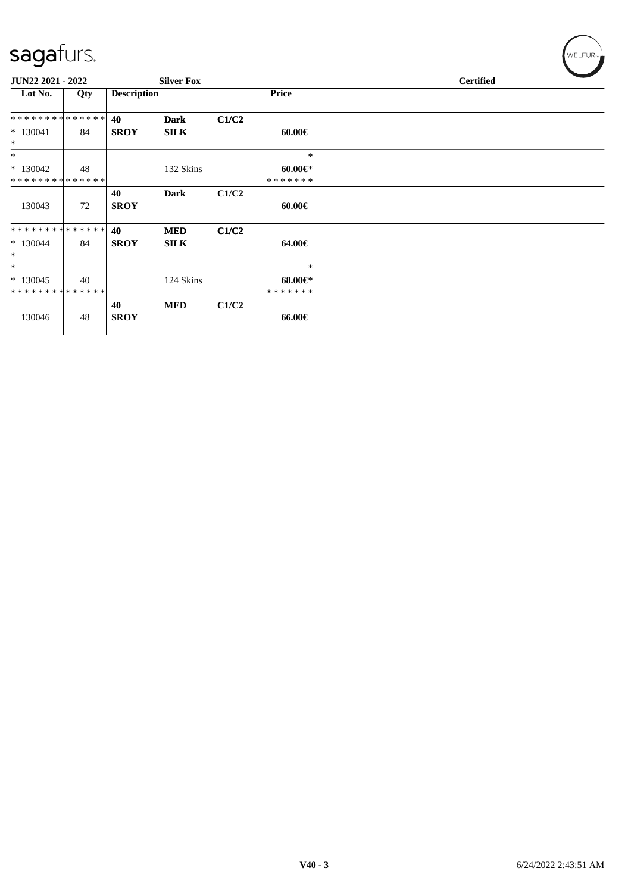| $\tilde{\phantom{a}}$ |     |                    |                   |       |               |                  |
|-----------------------|-----|--------------------|-------------------|-------|---------------|------------------|
| JUN22 2021 - 2022     |     |                    | <b>Silver Fox</b> |       |               | <b>Certified</b> |
| Lot No.               | Qty | <b>Description</b> |                   |       | <b>Price</b>  |                  |
| **************        |     | 40                 | <b>Dark</b>       | C1/C2 |               |                  |
| $*130041$<br>$\ast$   | 84  | <b>SROY</b>        | <b>SILK</b>       |       | $60.00 \in$   |                  |
| $\ast$                |     |                    |                   |       | $\ast$        |                  |
| $*130042$             | 48  |                    | 132 Skins         |       | $60.00 \in$ * |                  |
| **************        |     |                    |                   |       | * * * * * * * |                  |
|                       |     | 40                 | Dark              | C1/C2 |               |                  |
| 130043                | 72  | <b>SROY</b>        |                   |       | $60.00 \in$   |                  |
| **************        |     | 40                 | <b>MED</b>        | C1/C2 |               |                  |
| $*130044$             | 84  | <b>SROY</b>        | <b>SILK</b>       |       | 64.00€        |                  |
| $\ast$                |     |                    |                   |       |               |                  |
| $\ast$                |     |                    |                   |       | $\ast$        |                  |
| $*130045$             | 40  |                    | 124 Skins         |       | $68.00 \in$   |                  |
| **************        |     |                    |                   |       | * * * * * * * |                  |
| 130046                | 48  | 40<br><b>SROY</b>  | <b>MED</b>        | C1/C2 | 66.00€        |                  |
|                       |     |                    |                   |       |               |                  |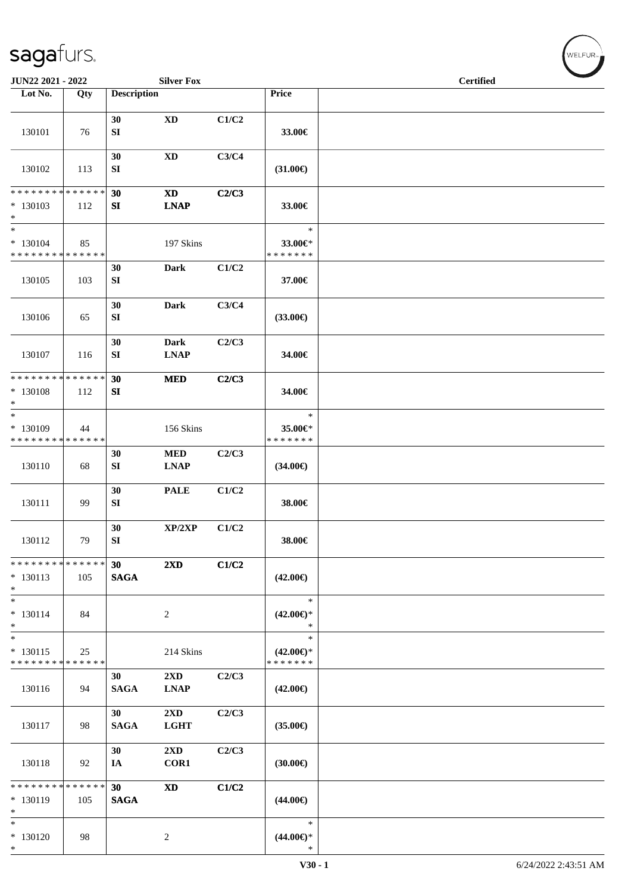| JUN22 2021 - 2022                                   |                   |                       | <b>Silver Fox</b>                      |       |                                                | <b>Certified</b> |  |
|-----------------------------------------------------|-------------------|-----------------------|----------------------------------------|-------|------------------------------------------------|------------------|--|
| Lot No.                                             | Qty               | <b>Description</b>    |                                        |       | Price                                          |                  |  |
| 130101                                              | 76                | 30<br>SI              | $\mathbf{X}\mathbf{D}$                 | C1/C2 | 33.00€                                         |                  |  |
| 130102                                              | 113               | 30<br>SI              | $\mathbf{X}\mathbf{D}$                 | C3/C4 | $(31.00\epsilon)$                              |                  |  |
| * * * * * * * * * * * * * *<br>* 130103<br>$*$      | 112               | 30<br>SI              | <b>XD</b><br><b>LNAP</b>               | C2/C3 | 33.00€                                         |                  |  |
| $\ast$<br>* 130104<br>* * * * * * * * * * * * * *   | 85                |                       | 197 Skins                              |       | $\ast$<br>33.00€*<br>* * * * * * *             |                  |  |
| 130105                                              | 103               | 30<br>SI              | <b>Dark</b>                            | C1/C2 | 37.00€                                         |                  |  |
| 130106                                              | 65                | 30<br>SI              | <b>Dark</b>                            | C3/C4 | $(33.00\epsilon)$                              |                  |  |
| 130107                                              | 116               | 30<br>SI              | <b>Dark</b><br><b>LNAP</b>             | C2/C3 | 34.00€                                         |                  |  |
| * * * * * * * * * * * * * * *<br>* 130108<br>$\ast$ | 112               | 30<br>SI              | <b>MED</b>                             | C2/C3 | 34.00€                                         |                  |  |
| $\ast$<br>* 130109<br>* * * * * * * * * * * * * *   | 44                |                       | 156 Skins                              |       | $\ast$<br>35.00€*<br>* * * * * * *             |                  |  |
| 130110                                              | 68                | 30<br>SI              | $\bf MED$<br><b>LNAP</b>               | C2/C3 | $(34.00\epsilon)$                              |                  |  |
| 130111                                              | 99                | 30<br>SI              | <b>PALE</b>                            | C1/C2 | 38.00€                                         |                  |  |
| 130112                                              | 79                | 30<br>SI              | XP/2XP                                 | C1/C2 | 38.00€                                         |                  |  |
| * * * * * * * * * * * * * *<br>$* 130113$<br>$*$    | 105               | 30<br>$\mathbf{SAGA}$ | 2XD                                    | C1/C2 | $(42.00\epsilon)$                              |                  |  |
| $*$<br>$* 130114$<br>$\ast$                         | 84                |                       | 2                                      |       | $\ast$<br>$(42.00\epsilon)$ *<br>$\ast$        |                  |  |
| $\overline{\ast}$<br>$* 130115$<br>* * * * * * * *  | 25<br>* * * * * * |                       | 214 Skins                              |       | $\ast$<br>$(42.00\epsilon)$ *<br>* * * * * * * |                  |  |
| 130116                                              | 94                | 30<br><b>SAGA</b>     | $2\mathbf{X}\mathbf{D}$<br><b>LNAP</b> | C2/C3 | $(42.00\epsilon)$                              |                  |  |
| 130117                                              | 98                | 30<br><b>SAGA</b>     | 2XD<br><b>LGHT</b>                     | C2/C3 | $(35.00\epsilon)$                              |                  |  |
| 130118                                              | 92                | 30<br>IA              | $2\mathbf{X}\mathbf{D}$<br>COR1        | C2/C3 | (30.00)                                        |                  |  |
| ******** <mark>******</mark><br>* 130119<br>$*$     | 105               | 30<br><b>SAGA</b>     | $\boldsymbol{\mathrm{XD}}$             | C1/C2 | $(44.00\epsilon)$                              |                  |  |
| $*$<br>$* 130120$<br>$\ast$                         | 98                |                       | $\overline{c}$                         |       | $\ast$<br>$(44.00\epsilon)$ *<br>$\ast$        |                  |  |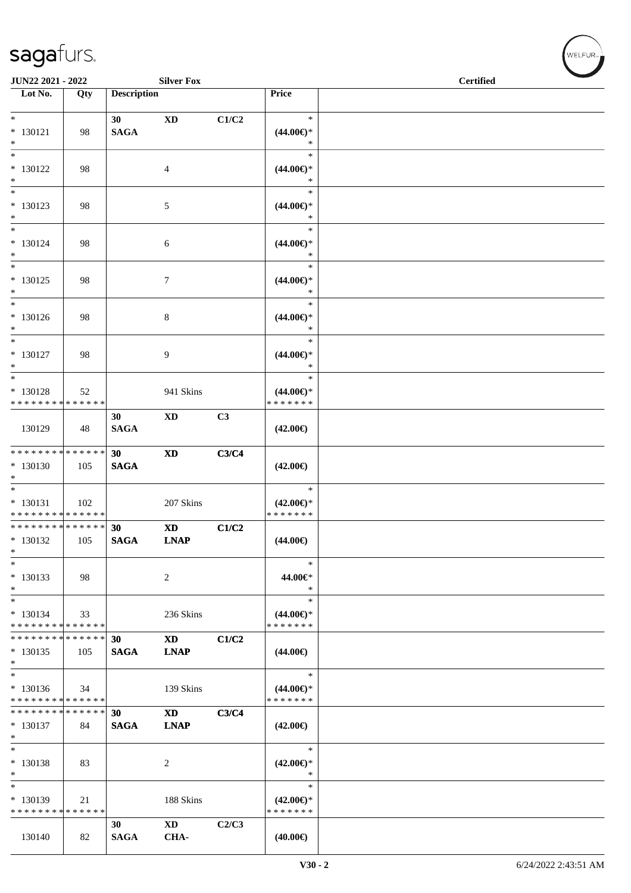| JUN22 2021 - 2022                                            |     |                    | <b>Silver Fox</b>        |       |                               | <b>Certified</b> |  |
|--------------------------------------------------------------|-----|--------------------|--------------------------|-------|-------------------------------|------------------|--|
| Lot No.                                                      | Qty | <b>Description</b> |                          |       | Price                         |                  |  |
|                                                              |     |                    |                          |       |                               |                  |  |
| $*$                                                          |     | 30                 | <b>XD</b>                | C1/C2 | $\ast$                        |                  |  |
| $* 130121$                                                   | 98  | <b>SAGA</b>        |                          |       | $(44.00\epsilon)$ *           |                  |  |
| $*$                                                          |     |                    |                          |       | $\ast$                        |                  |  |
| $*$                                                          |     |                    |                          |       | $\ast$                        |                  |  |
| $* 130122$<br>$\ast$                                         | 98  |                    | 4                        |       | $(44.00\epsilon)$ *<br>*      |                  |  |
| $*$                                                          |     |                    |                          |       | $\ast$                        |                  |  |
| $* 130123$                                                   | 98  |                    | 5                        |       | $(44.00ε)$ *                  |                  |  |
| $*$                                                          |     |                    |                          |       | $\ast$                        |                  |  |
| $*$                                                          |     |                    |                          |       | $\ast$                        |                  |  |
| $* 130124$                                                   | 98  |                    | 6                        |       | $(44.00\epsilon)$ *           |                  |  |
| $*$                                                          |     |                    |                          |       | $\ast$                        |                  |  |
| $*$                                                          |     |                    |                          |       | $\ast$                        |                  |  |
| $* 130125$                                                   | 98  |                    | 7                        |       | $(44.00ε)$ *<br>$\ast$        |                  |  |
| $*$<br>$*$                                                   |     |                    |                          |       | $\ast$                        |                  |  |
| $* 130126$                                                   | 98  |                    | 8                        |       | $(44.00\epsilon)$ *           |                  |  |
| $*$                                                          |     |                    |                          |       | $\ast$                        |                  |  |
| $*$                                                          |     |                    |                          |       | $\ast$                        |                  |  |
| $* 130127$                                                   | 98  |                    | 9                        |       | $(44.00\epsilon)$ *           |                  |  |
| $\ast$                                                       |     |                    |                          |       | $\ast$                        |                  |  |
|                                                              |     |                    |                          |       | $\ast$                        |                  |  |
| * 130128                                                     | 52  |                    | 941 Skins                |       | $(44.00\epsilon)$ *           |                  |  |
| * * * * * * * * * * * * * *                                  |     |                    |                          |       | * * * * * * *                 |                  |  |
| 130129                                                       | 48  | 30<br><b>SAGA</b>  | XD                       | C3    |                               |                  |  |
|                                                              |     |                    |                          |       | $(42.00\epsilon)$             |                  |  |
| **************                                               |     | 30                 | $\mathbf{X}\mathbf{D}$   | C3/C4 |                               |                  |  |
| $* 130130$                                                   | 105 | <b>SAGA</b>        |                          |       | $(42.00\epsilon)$             |                  |  |
| $*$                                                          |     |                    |                          |       |                               |                  |  |
| $*$                                                          |     |                    |                          |       | $\ast$                        |                  |  |
| $* 130131$                                                   | 102 |                    | 207 Skins                |       | $(42.00\epsilon)$ *           |                  |  |
| * * * * * * * * * * * * * *<br>* * * * * * * * * * * * * * * |     |                    |                          |       | * * * * * * *                 |                  |  |
| $* 130132$                                                   | 105 | 30<br><b>SAGA</b>  | <b>XD</b><br><b>LNAP</b> | C1/C2 |                               |                  |  |
| $*$                                                          |     |                    |                          |       | $(44.00\epsilon)$             |                  |  |
| $\ast$                                                       |     |                    |                          |       | $\ast$                        |                  |  |
| $* 130133$                                                   | 98  |                    | 2                        |       | 44.00€*                       |                  |  |
| $*$                                                          |     |                    |                          |       | $\ast$                        |                  |  |
| $*$                                                          |     |                    |                          |       | $\ast$                        |                  |  |
| $* 130134$                                                   | 33  |                    | 236 Skins                |       | $(44.00\epsilon)$ *           |                  |  |
| * * * * * * * * * * * * * *                                  |     |                    |                          |       | * * * * * * *                 |                  |  |
| * * * * * * * * * * * * * * *                                |     | 30                 | <b>XD</b>                | C1/C2 |                               |                  |  |
| $*130135$<br>$*$                                             | 105 | <b>SAGA</b>        | <b>LNAP</b>              |       | $(44.00\epsilon)$             |                  |  |
| $\overline{\phantom{0}}$                                     |     |                    |                          |       | $\ast$                        |                  |  |
| $* 130136$                                                   | 34  |                    | 139 Skins                |       | $(44.00\epsilon)$ *           |                  |  |
| * * * * * * * * * * * * * *                                  |     |                    |                          |       | * * * * * * *                 |                  |  |
| * * * * * * * * * * * * * * *                                |     | 30                 | <b>XD</b>                | C3/C4 |                               |                  |  |
| $*130137$                                                    | 84  | <b>SAGA</b>        | <b>LNAP</b>              |       | $(42.00\epsilon)$             |                  |  |
| $*$                                                          |     |                    |                          |       |                               |                  |  |
| $*$                                                          |     |                    |                          |       | $\ast$                        |                  |  |
| * 130138<br>$*$                                              | 83  |                    | 2                        |       | $(42.00\epsilon)$ *<br>$\ast$ |                  |  |
| $\ast$                                                       |     |                    |                          |       | $\ast$                        |                  |  |
| * 130139                                                     | 21  |                    | 188 Skins                |       | $(42.00\epsilon)$ *           |                  |  |
| * * * * * * * * * * * * * *                                  |     |                    |                          |       | * * * * * * *                 |                  |  |
|                                                              |     | 30                 | $\mathbf{X}\mathbf{D}$   | C2/C3 |                               |                  |  |
| 130140                                                       | 82  | <b>SAGA</b>        | CHA-                     |       | $(40.00\epsilon)$             |                  |  |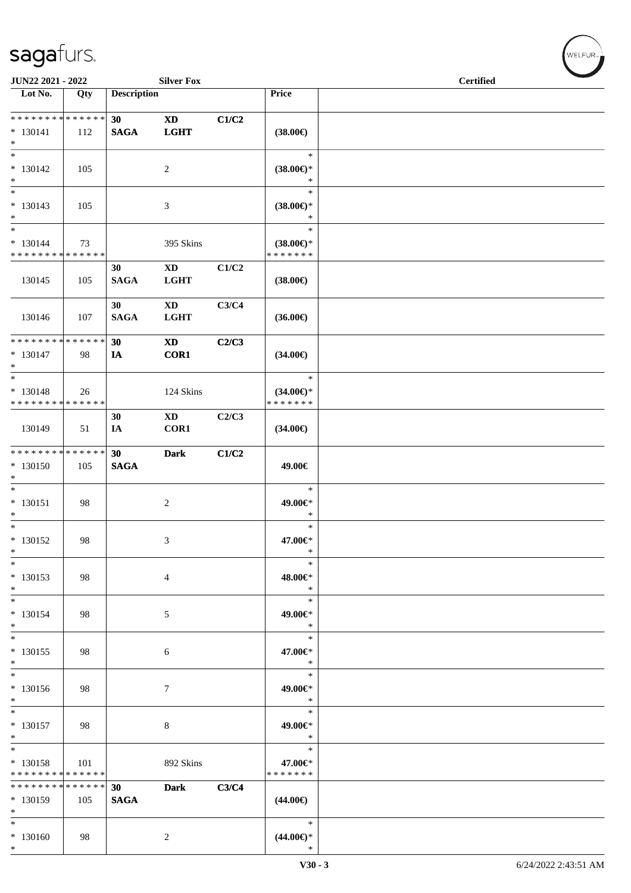| JUN22 2021 - 2022                                          |     |                                | <b>Silver Fox</b>                                  |       |                                                | <b>Certified</b> |  |  |  |
|------------------------------------------------------------|-----|--------------------------------|----------------------------------------------------|-------|------------------------------------------------|------------------|--|--|--|
| Lot No.                                                    | Qty | <b>Description</b>             |                                                    |       | Price                                          |                  |  |  |  |
| **************<br>$* 130141$<br>$\ast$                     | 112 | 30 <sup>°</sup><br><b>SAGA</b> | $\mathbf{X}\mathbf{D}$<br>LGHT                     | C1/C2 | $(38.00\epsilon)$                              |                  |  |  |  |
| $\overline{\phantom{1}}$<br>$* 130142$<br>$\ast$           | 105 |                                | $\overline{c}$                                     |       | $\ast$<br>$(38.00\epsilon)$ *<br>$\ast$        |                  |  |  |  |
| $\ast$<br>$* 130143$<br>$\ast$<br>$\overline{\phantom{0}}$ | 105 |                                | 3                                                  |       | $\ast$<br>$(38.00\epsilon)$ *<br>$\ast$        |                  |  |  |  |
| $* 130144$<br>* * * * * * * * * * * * * *                  | 73  |                                | 395 Skins                                          |       | $\ast$<br>$(38.00\epsilon)$ *<br>* * * * * * * |                  |  |  |  |
| 130145                                                     | 105 | 30<br><b>SAGA</b>              | $\mathbf{X}\mathbf{D}$<br><b>LGHT</b>              | C1/C2 | $(38.00\epsilon)$                              |                  |  |  |  |
| 130146                                                     | 107 | 30<br><b>SAGA</b>              | $\mathbf{X}\mathbf{D}$<br><b>LGHT</b>              | C3/C4 | $(36.00\epsilon)$                              |                  |  |  |  |
| * * * * * * * * * * * * * *<br>$* 130147$<br>$\ast$        | 98  | 30<br>IA                       | $\boldsymbol{\textbf{X}\textbf{D}}$<br><b>COR1</b> | C2/C3 | $(34.00\epsilon)$                              |                  |  |  |  |
| $_{\ast}$<br>* 130148<br>* * * * * * * * * * * * * *       | 26  |                                | 124 Skins                                          |       | $\ast$<br>$(34.00\epsilon)$ *<br>* * * * * * * |                  |  |  |  |
| 130149                                                     | 51  | 30<br>IA                       | XD<br>COR1                                         | C2/C3 | $(34.00\epsilon)$                              |                  |  |  |  |
| ******** <mark>******</mark><br>$* 130150$<br>$\ast$       | 105 | 30<br><b>SAGA</b>              | <b>Dark</b>                                        | C1/C2 | 49.00€                                         |                  |  |  |  |
| $\overline{\phantom{a}^*}$<br>$* 130151$<br>$\ast$         | 98  |                                | $\sqrt{2}$                                         |       | $\ast$<br>49.00€*<br>$\ast$                    |                  |  |  |  |
| $\ast$<br>$* 130152$<br>$\ast$                             | 98  |                                | $\mathfrak{Z}$                                     |       | $\ast$<br>47.00€*<br>$\ast$                    |                  |  |  |  |
| $\ast$<br>$* 130153$<br>$\ast$                             | 98  |                                | $\overline{4}$                                     |       | $\ast$<br>48.00€*<br>$\ast$                    |                  |  |  |  |
| $\ast$<br>$* 130154$<br>$\ast$                             | 98  |                                | 5                                                  |       | $\ast$<br>49.00€*<br>$\ast$                    |                  |  |  |  |
| $*$<br>$* 130155$<br>$\ast$                                | 98  |                                | 6                                                  |       | $\ast$<br>47.00€*<br>$\ast$                    |                  |  |  |  |
| $_{\ast}^{-}$<br>$* 130156$<br>$\ast$                      | 98  |                                | 7                                                  |       | $\ast$<br>49.00€*<br>$\ast$                    |                  |  |  |  |
| $\overline{\ast}$<br>$* 130157$<br>$\ast$                  | 98  |                                | $\,8\,$                                            |       | $\ast$<br>49.00€*<br>$\ast$                    |                  |  |  |  |
| $\ast$<br>* 130158<br>* * * * * * * * * * * * * *          | 101 |                                | 892 Skins                                          |       | $\ast$<br>47.00€*<br>* * * * * * *             |                  |  |  |  |
| * * * * * * * * * * * * * *<br>$* 130159$<br>$\ast$        | 105 | 30<br><b>SAGA</b>              | <b>Dark</b>                                        | C3/C4 | $(44.00\epsilon)$                              |                  |  |  |  |
| $\ast$<br>$* 130160$<br>$\ast$                             | 98  |                                | $\overline{c}$                                     |       | $\ast$<br>$(44.00\epsilon)$ *<br>$\ast$        |                  |  |  |  |

 $(w$ ELFUR<sub><sup>n</sub></sub></sub></sup>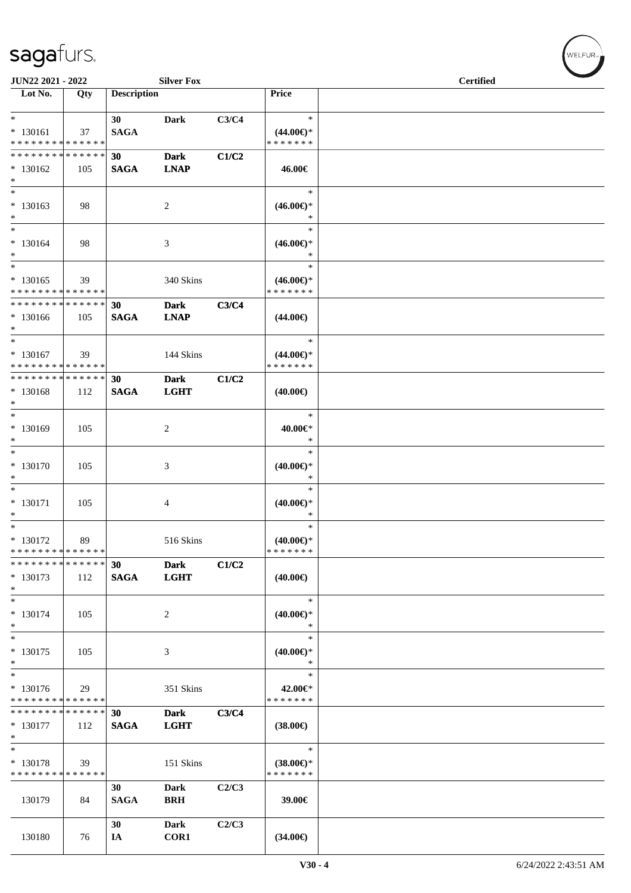| JUN22 2021 - 2022                          |     |                    | <b>Silver Fox</b> |       |                     | <b>Certified</b> |
|--------------------------------------------|-----|--------------------|-------------------|-------|---------------------|------------------|
| Lot No.                                    | Qty | <b>Description</b> |                   |       | <b>Price</b>        |                  |
|                                            |     |                    |                   |       |                     |                  |
| $*$                                        |     | 30                 | Dark              | C3/C4 | $\ast$              |                  |
| * 130161                                   | 37  | <b>SAGA</b>        |                   |       | $(44.00\epsilon)$ * |                  |
| * * * * * * * * * * * * * *                |     |                    |                   |       | * * * * * * *       |                  |
| * * * * * * * * <mark>* * * * * *</mark>   |     | 30                 | <b>Dark</b>       | C1/C2 |                     |                  |
| $*130162$                                  | 105 | <b>SAGA</b>        | <b>LNAP</b>       |       | 46.00€              |                  |
| $\ast$                                     |     |                    |                   |       |                     |                  |
| $*$                                        |     |                    |                   |       | $\ast$              |                  |
| $* 130163$                                 | 98  |                    | 2                 |       | $(46.00\epsilon)$ * |                  |
| $*$                                        |     |                    |                   |       | $\ast$              |                  |
| $*$                                        |     |                    |                   |       | $\ast$              |                  |
| $* 130164$                                 | 98  |                    | 3                 |       | $(46.00\epsilon)$ * |                  |
| $*$                                        |     |                    |                   |       | $\ast$              |                  |
| $*$ $-$                                    |     |                    |                   |       | $\ast$              |                  |
| $* 130165$                                 | 39  |                    | 340 Skins         |       | $(46.00\epsilon)$ * |                  |
| * * * * * * * * <mark>* * * * * * *</mark> |     |                    |                   |       | * * * * * * *       |                  |
| * * * * * * * * <mark>* * * * * *</mark>   |     | 30                 | <b>Dark</b>       | C3/C4 |                     |                  |
| $* 130166$                                 | 105 | <b>SAGA</b>        | <b>LNAP</b>       |       | $(44.00\epsilon)$   |                  |
| $*$                                        |     |                    |                   |       |                     |                  |
| $*$                                        |     |                    |                   |       | $\ast$              |                  |
| * 130167                                   |     |                    |                   |       | $(44.00\epsilon)$ * |                  |
| * * * * * * * * * * * * * *                | 39  |                    | 144 Skins         |       | * * * * * * *       |                  |
| * * * * * * * * * * * * * *                |     |                    |                   |       |                     |                  |
|                                            |     | 30                 | <b>Dark</b>       | C1/C2 |                     |                  |
| * 130168<br>$*$                            | 112 | <b>SAGA</b>        | <b>LGHT</b>       |       | $(40.00\epsilon)$   |                  |
| $\overline{\ast}$                          |     |                    |                   |       | $\ast$              |                  |
|                                            |     |                    |                   |       |                     |                  |
| * 130169                                   | 105 |                    | 2                 |       | 40.00€*             |                  |
| $*$<br>$*$                                 |     |                    |                   |       | $\ast$              |                  |
|                                            |     |                    |                   |       | $\ast$              |                  |
| $* 130170$                                 | 105 |                    | 3                 |       | $(40.00\epsilon)$ * |                  |
| $*$                                        |     |                    |                   |       | $\ast$              |                  |
| $*$                                        |     |                    |                   |       | $\ast$              |                  |
| * 130171                                   | 105 |                    | 4                 |       | $(40.00\epsilon)$ * |                  |
| $\ast$                                     |     |                    |                   |       | $\ast$              |                  |
| $*$                                        |     |                    |                   |       | $\ast$              |                  |
| * 130172                                   | 89  |                    | 516 Skins         |       | $(40.00\epsilon)$ * |                  |
| * * * * * * * * * * * * * *                |     |                    |                   |       | * * * * * * *       |                  |
| * * * * * * * * * * * * * * *              |     | 30                 | <b>Dark</b>       | C1/C2 |                     |                  |
| $*130173$                                  | 112 | <b>SAGA</b>        | <b>LGHT</b>       |       | $(40.00\epsilon)$   |                  |
| $\ast$                                     |     |                    |                   |       |                     |                  |
| $*$                                        |     |                    |                   |       | $\ast$              |                  |
| $* 130174$                                 | 105 |                    | 2                 |       | $(40.00\epsilon)$ * |                  |
| $\ast$                                     |     |                    |                   |       | $\ast$              |                  |
| $*$                                        |     |                    |                   |       | $\ast$              |                  |
| $* 130175$                                 | 105 |                    | 3                 |       | $(40.00\epsilon)$ * |                  |
| $\ast$                                     |     |                    |                   |       | *                   |                  |
| $\ast$                                     |     |                    |                   |       | $\ast$              |                  |
| $* 130176$                                 | 29  |                    | 351 Skins         |       | 42.00€*             |                  |
| * * * * * * * * * * * * * *                |     |                    |                   |       | * * * * * * *       |                  |
| * * * * * * * * * * * * * *                |     | 30                 | <b>Dark</b>       | C3/C4 |                     |                  |
| $*130177$                                  | 112 | <b>SAGA</b>        | <b>LGHT</b>       |       | $(38.00\epsilon)$   |                  |
| $\ast$                                     |     |                    |                   |       |                     |                  |
| $\ast$                                     |     |                    |                   |       | $\ast$              |                  |
| * 130178                                   | 39  |                    | 151 Skins         |       | $(38.00\epsilon)$ * |                  |
| * * * * * * * * * * * * * *                |     |                    |                   |       | * * * * * * *       |                  |
|                                            |     | 30                 | <b>Dark</b>       | C2/C3 |                     |                  |
| 130179                                     | 84  | <b>SAGA</b>        | <b>BRH</b>        |       | 39.00€              |                  |
|                                            |     |                    |                   |       |                     |                  |
|                                            |     | 30                 | <b>Dark</b>       | C2/C3 |                     |                  |
| 130180                                     | 76  | IA                 | COR1              |       | $(34.00\epsilon)$   |                  |
|                                            |     |                    |                   |       |                     |                  |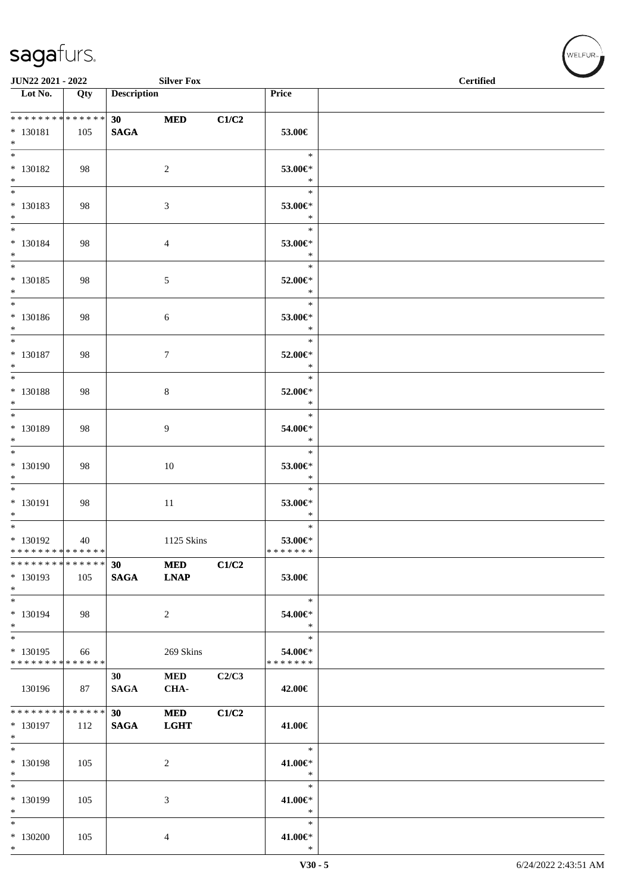| JUN22 2021 - 2022                                                        |     |                                | <b>Silver Fox</b>         |       |                                       | <b>Certified</b> |  |
|--------------------------------------------------------------------------|-----|--------------------------------|---------------------------|-------|---------------------------------------|------------------|--|
| $\overline{\phantom{1}}$ Lot No.                                         | Qty | <b>Description</b>             |                           |       | Price                                 |                  |  |
| ******** <mark>******</mark><br>$* 130181$<br>$*$                        | 105 | 30 <sub>1</sub><br><b>SAGA</b> | <b>MED</b>                | C1/C2 | 53.00€                                |                  |  |
| $\overline{\phantom{0}}$<br>$* 130182$<br>$*$                            | 98  |                                | $\overline{2}$            |       | $\ast$<br>53.00€*<br>$\ast$           |                  |  |
| $*$<br>* 130183<br>$*$                                                   | 98  |                                | 3                         |       | $\ast$<br>53.00€*<br>$\ast$           |                  |  |
| $*$<br>$* 130184$<br>$*$                                                 | 98  |                                | $\overline{4}$            |       | $\ast$<br>53.00€*<br>$\ast$           |                  |  |
| $*$<br>$* 130185$<br>$*$                                                 | 98  |                                | $\mathfrak{S}$            |       | $\ast$<br>52.00€*<br>$\ast$           |                  |  |
| $*$<br>$* 130186$<br>$*$                                                 | 98  |                                | 6                         |       | $\ast$<br>53.00€*<br>$\ast$           |                  |  |
| $*$<br>$* 130187$<br>$*$                                                 | 98  |                                | 7                         |       | $\ast$<br>52.00€*<br>$\ast$           |                  |  |
| $* 130188$<br>$*$<br>$*$                                                 | 98  |                                | 8                         |       | $\ast$<br>52.00€*<br>$\ast$           |                  |  |
| * 130189<br>$*$<br>$\overline{\ast}$                                     | 98  |                                | 9                         |       | $\ast$<br>54.00€*<br>$\ast$<br>$\ast$ |                  |  |
| * 130190<br>$*$                                                          | 98  |                                | 10                        |       | 53.00€*<br>$\ast$                     |                  |  |
| * 130191<br>$*$<br>$*$                                                   | 98  |                                | $11\,$                    |       | $\ast$<br>53.00€*<br>$\ast$<br>$\ast$ |                  |  |
| $* 130192$<br>* * * * * * * * * * * * * *<br>* * * * * * * * * * * * * * | 40  |                                | 1125 Skins                |       | 53.00€*<br>* * * * * * *              |                  |  |
| * 130193<br>$*$                                                          | 105 | 30<br><b>SAGA</b>              | <b>MED</b><br><b>LNAP</b> | C1/C2 | 53.00€                                |                  |  |
| $*$<br>$* 130194$<br>$*$<br>$*$                                          | 98  |                                | $\overline{2}$            |       | $\ast$<br>54.00€*<br>$\ast$<br>$\ast$ |                  |  |
| * 130195<br>* * * * * * * * * * * * * *                                  | 66  |                                | 269 Skins                 |       | 54.00€*<br>* * * * * * *              |                  |  |
| 130196                                                                   | 87  | 30<br><b>SAGA</b>              | $\bf MED$<br>CHA-         | C2/C3 | 42.00€                                |                  |  |
| * * * * * * * * * * * * * *<br>$* 130197$<br>$*$                         | 112 | 30<br><b>SAGA</b>              | <b>MED</b><br><b>LGHT</b> | C1/C2 | 41.00€                                |                  |  |
| $*$<br>$* 130198$<br>$*$<br>$*$                                          | 105 |                                | $\overline{2}$            |       | $\ast$<br>41.00€*<br>$\ast$<br>$\ast$ |                  |  |
| * 130199<br>$*$                                                          | 105 |                                | 3                         |       | 41.00€*<br>$\ast$                     |                  |  |
| $*$<br>$*130200$<br>$*$                                                  | 105 |                                | 4                         |       | $\ast$<br>41.00€*<br>$\ast$           |                  |  |

 $(w$ ELFUR<sub><sup>n</sub></sub></sub></sup>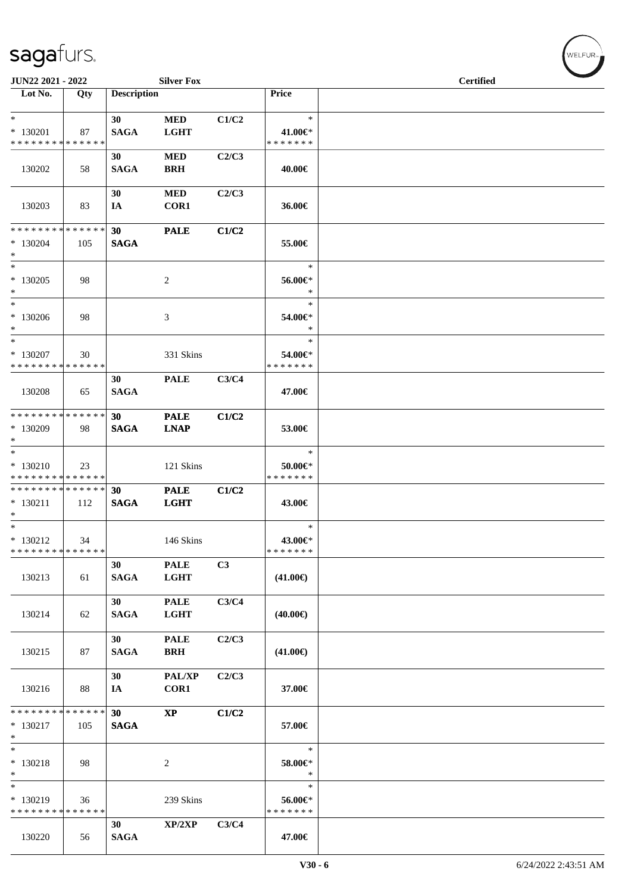| JUN22 2021 - 2022                                            |     |                       | <b>Silver Fox</b>          |       |                                    | <b>Certified</b> |  |
|--------------------------------------------------------------|-----|-----------------------|----------------------------|-------|------------------------------------|------------------|--|
| Lot No.                                                      | Qty | <b>Description</b>    |                            |       | Price                              |                  |  |
| $*$<br>* 130201<br>* * * * * * * * * * * * * *               | 87  | 30<br><b>SAGA</b>     | <b>MED</b><br><b>LGHT</b>  | C1/C2 | $\ast$<br>41.00€*<br>* * * * * * * |                  |  |
| 130202                                                       | 58  | 30<br><b>SAGA</b>     | $\bf MED$<br><b>BRH</b>    | C2/C3 | 40.00€                             |                  |  |
| 130203                                                       | 83  | 30<br>IA              | <b>MED</b><br>COR1         | C2/C3 | 36.00€                             |                  |  |
| * * * * * * * * * * * * * * *<br>$*130204$<br>$*$            | 105 | 30<br><b>SAGA</b>     | <b>PALE</b>                | C1/C2 | 55.00€                             |                  |  |
| $*$<br>* 130205<br>$*$                                       | 98  |                       | 2                          |       | $\ast$<br>56.00€*<br>$\ast$        |                  |  |
| $*$<br>$*130206$<br>$*$                                      | 98  |                       | 3                          |       | $\ast$<br>54.00€*<br>$\ast$        |                  |  |
| $*$<br>* 130207<br>* * * * * * * * * * * * * * *             | 30  |                       | 331 Skins                  |       | $\ast$<br>54.00€*<br>* * * * * * * |                  |  |
| 130208                                                       | 65  | 30<br><b>SAGA</b>     | <b>PALE</b>                | C3/C4 | 47.00€                             |                  |  |
| * * * * * * * * * * * * * * *<br>* 130209<br>$*$             | 98  | 30<br><b>SAGA</b>     | <b>PALE</b><br><b>LNAP</b> | C1/C2 | 53.00€                             |                  |  |
| $\overline{\ }$<br>$* 130210$<br>* * * * * * * * * * * * * * | 23  |                       | 121 Skins                  |       | $\ast$<br>50.00€*<br>* * * * * * * |                  |  |
| * * * * * * * * * * * * * * *<br>$* 130211$<br>$*$           | 112 | 30<br><b>SAGA</b>     | <b>PALE</b><br><b>LGHT</b> | C1/C2 | 43.00€                             |                  |  |
| $*$<br>$* 130212$<br>* * * * * * * * * * * * * * *           | 34  |                       | 146 Skins                  |       | $\ast$<br>43.00€*<br>* * * * * * * |                  |  |
| 130213                                                       | 61  | 30<br>$\mathbf{SAGA}$ | <b>PALE</b><br><b>LGHT</b> | C3    | $(41.00\epsilon)$                  |                  |  |
| 130214                                                       | 62  | 30<br><b>SAGA</b>     | <b>PALE</b><br><b>LGHT</b> | C3/C4 | $(40.00\epsilon)$                  |                  |  |
| 130215                                                       | 87  | 30<br><b>SAGA</b>     | <b>PALE</b><br><b>BRH</b>  | C2/C3 | $(41.00\epsilon)$                  |                  |  |
| 130216                                                       | 88  | 30<br>IA              | PAL/XP<br>COR1             | C2/C3 | 37.00€                             |                  |  |
| * * * * * * * * * * * * * *<br>$* 130217$<br>$*$             | 105 | 30<br><b>SAGA</b>     | $\mathbf{XP}$              | C1/C2 | 57.00€                             |                  |  |
| $*$<br>$* 130218$<br>$*$                                     | 98  |                       | 2                          |       | $\ast$<br>58.00€*<br>$\ast$        |                  |  |
| $\ast$<br>* 130219<br>* * * * * * * * * * * * * *            | 36  |                       | 239 Skins                  |       | $\ast$<br>56.00€*<br>* * * * * * * |                  |  |
| 130220                                                       | 56  | 30<br><b>SAGA</b>     | XP/2XP                     | C3/C4 | 47.00€                             |                  |  |

WELFUR<sub><sup>N</sup></sub>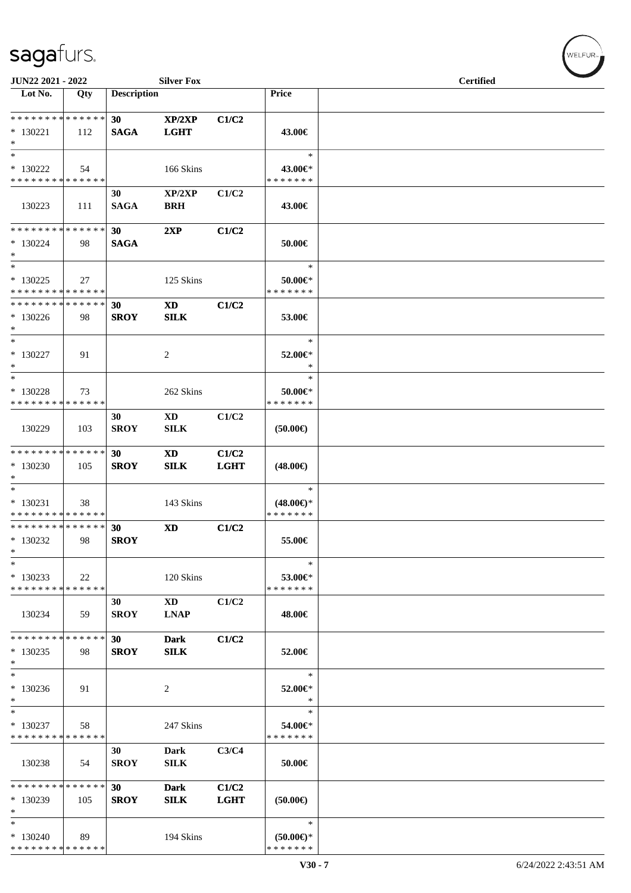| JUN22 2021 - 2022                                         |     |                    | <b>Silver Fox</b>                         |                      |                                                | <b>Certified</b> |  |
|-----------------------------------------------------------|-----|--------------------|-------------------------------------------|----------------------|------------------------------------------------|------------------|--|
| Lot No.                                                   | Qty | <b>Description</b> |                                           |                      | Price                                          |                  |  |
| * * * * * * * * * * * * * *<br>$*130221$<br>$*$           | 112 | 30<br><b>SAGA</b>  | XP/2XP<br><b>LGHT</b>                     | C1/C2                | 43.00€                                         |                  |  |
| $\ast$<br>$*130222$<br>* * * * * * * * * * * * * *        | 54  |                    | 166 Skins                                 |                      | $\ast$<br>43.00€*<br>* * * * * * *             |                  |  |
| 130223                                                    | 111 | 30<br><b>SAGA</b>  | XP/2XP<br><b>BRH</b>                      | C1/C2                | 43.00€                                         |                  |  |
| * * * * * * * * * * * * * *<br>$*130224$<br>$*$<br>$\ast$ | 98  | 30<br><b>SAGA</b>  | 2XP                                       | C1/C2                | 50.00€                                         |                  |  |
| $*130225$<br>* * * * * * * * * * * * * *                  | 27  |                    | 125 Skins                                 |                      | $\ast$<br>50.00€*<br>* * * * * * *             |                  |  |
| * * * * * * * * * * * * * *<br>$*130226$<br>$\ast$        | 98  | 30<br><b>SROY</b>  | <b>XD</b><br><b>SILK</b>                  | C1/C2                | 53.00€                                         |                  |  |
| $\ast$<br>$* 130227$<br>$\ast$                            | 91  |                    | 2                                         |                      | $\ast$<br>52.00€*<br>∗                         |                  |  |
| $\ast$<br>* 130228<br>* * * * * * * * * * * * * *         | 73  |                    | 262 Skins                                 |                      | $\ast$<br>50.00€*<br>* * * * * * *             |                  |  |
| 130229                                                    | 103 | 30<br><b>SROY</b>  | <b>XD</b><br>${\bf SILK}$                 | C1/C2                | (50.00)                                        |                  |  |
| * * * * * * * * * * * * * *<br>* 130230<br>$*$            | 105 | 30<br><b>SROY</b>  | $\boldsymbol{\mathrm{XD}}$<br><b>SILK</b> | C1/C2<br><b>LGHT</b> | $(48.00\epsilon)$                              |                  |  |
| $\ast$<br>$* 130231$<br>* * * * * * * * * * * * * *       | 38  |                    | 143 Skins                                 |                      | $\ast$<br>$(48.00\epsilon)$ *<br>* * * * * * * |                  |  |
| * * * * * * * * * * * * * *<br>$*130232$<br>$\ast$        | 98  | 30<br><b>SROY</b>  | <b>XD</b>                                 | C1/C2                | 55.00€                                         |                  |  |
| $\ast$<br>$*130233$<br>* * * * * * * * * * * * * *        | 22  |                    | 120 Skins                                 |                      | $\ast$<br>53.00€*<br>* * * * * * *             |                  |  |
| 130234                                                    | 59  | 30<br><b>SROY</b>  | <b>XD</b><br><b>LNAP</b>                  | C1/C2                | 48.00€                                         |                  |  |
| * * * * * * * * * * * * * *<br>$*130235$<br>$*$           | 98  | 30<br><b>SROY</b>  | <b>Dark</b><br><b>SILK</b>                | C1/C2                | 52.00€                                         |                  |  |
| $\ast$<br>$*130236$<br>$\ast$                             | 91  |                    | 2                                         |                      | $\ast$<br>52.00€*<br>$\ast$                    |                  |  |
| $\ast$<br>$* 130237$<br>* * * * * * * * * * * * * *       | 58  |                    | 247 Skins                                 |                      | $\ast$<br>54.00€*<br>* * * * * * *             |                  |  |
| 130238                                                    | 54  | 30<br><b>SROY</b>  | Dark<br><b>SILK</b>                       | C3/C4                | 50.00€                                         |                  |  |
| * * * * * * * * * * * * * *<br>$*130239$<br>*             | 105 | 30<br><b>SROY</b>  | <b>Dark</b><br><b>SILK</b>                | C1/C2<br><b>LGHT</b> | (50.00)                                        |                  |  |
| $\ast$<br>$*130240$<br>* * * * * * * * * * * * * *        | 89  |                    | 194 Skins                                 |                      | $\ast$<br>$(50.00 \in )^*$<br>* * * * * * *    |                  |  |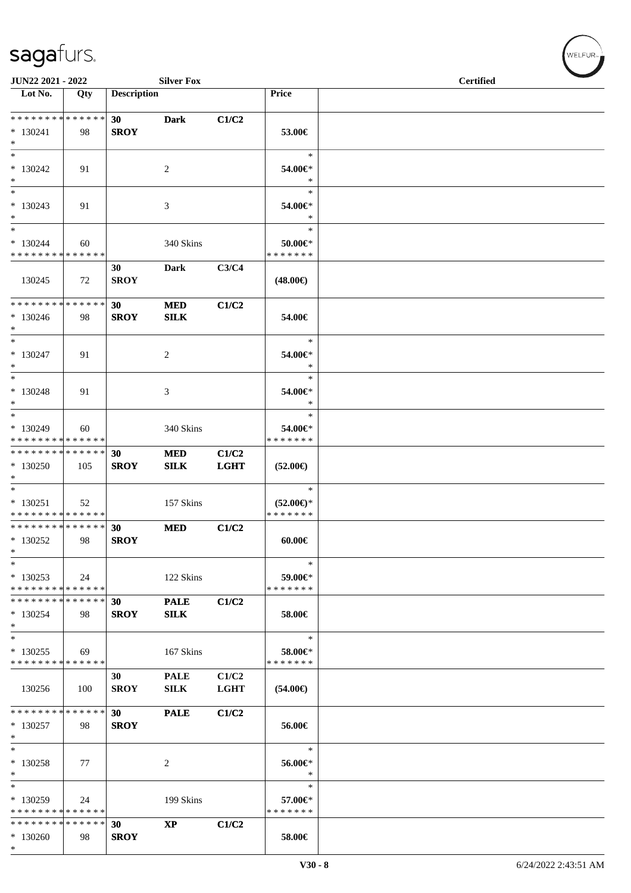| JUN22 2021 - 2022                                                 |     |                    | <b>Silver Fox</b>          |                      |                                                | <b>Certified</b> |  |
|-------------------------------------------------------------------|-----|--------------------|----------------------------|----------------------|------------------------------------------------|------------------|--|
| $\overline{\phantom{1}}$ Lot No.                                  | Qty | <b>Description</b> |                            |                      | Price                                          |                  |  |
| * * * * * * * * * * * * * *<br>$* 130241$<br>$*$                  | 98  | 30<br><b>SROY</b>  | <b>Dark</b>                | C1/C2                | 53.00€                                         |                  |  |
| $\ast$<br>$*130242$<br>$*$                                        | 91  |                    | 2                          |                      | $\ast$<br>54.00€*<br>$\ast$                    |                  |  |
| $\ast$<br>$*130243$<br>$*$                                        | 91  |                    | 3                          |                      | $\ast$<br>54.00€*<br>$\ast$                    |                  |  |
| $\ast$<br>$*130244$<br>* * * * * * * * * * * * * *                | 60  |                    | 340 Skins                  |                      | $\ast$<br>50.00€*<br>* * * * * * *             |                  |  |
| 130245                                                            | 72  | 30<br><b>SROY</b>  | Dark                       | C3/C4                | $(48.00\epsilon)$                              |                  |  |
| * * * * * * * * * * * * * * *<br>$*130246$<br>$*$                 | 98  | 30<br><b>SROY</b>  | $\bf MED$<br><b>SILK</b>   | C1/C2                | 54.00€                                         |                  |  |
| $*$<br>$* 130247$<br>$*$                                          | 91  |                    | $\overline{c}$             |                      | $\ast$<br>54.00€*<br>$\ast$                    |                  |  |
| $*$<br>$* 130248$<br>$*$                                          | 91  |                    | 3                          |                      | $\ast$<br>54.00€*<br>$\ast$                    |                  |  |
| $*$<br>* 130249<br>* * * * * * * * * * * * * *                    | 60  |                    | 340 Skins                  |                      | $\ast$<br>54.00€*<br>* * * * * * *             |                  |  |
| * * * * * * * * * * * * * *<br>$*130250$<br>$*$                   | 105 | 30<br><b>SROY</b>  | <b>MED</b><br><b>SILK</b>  | C1/C2<br><b>LGHT</b> | $(52.00\epsilon)$                              |                  |  |
| $*$<br>$* 130251$<br>* * * * * * * * * * * * * *                  | 52  |                    | 157 Skins                  |                      | $\ast$<br>$(52.00\epsilon)$ *<br>* * * * * * * |                  |  |
| * * * * * * * * * * * * * * *<br>$*130252$<br>$\ast$              | 98  | 30<br><b>SROY</b>  | <b>MED</b>                 | C1/C2                | $60.00 \in$                                    |                  |  |
| $\ast$<br>$*130253$<br>* * * * * * * * <mark>* * * * * * *</mark> | 24  |                    | 122 Skins                  |                      | $\ast$<br>59.00€*<br>* * * * * * *             |                  |  |
| * * * * * * * * * * * * * *<br>$*130254$<br>$*$                   | 98  | 30<br><b>SROY</b>  | <b>PALE</b><br><b>SILK</b> | C1/C2                | 58.00€                                         |                  |  |
| $\ast$<br>$*130255$<br>* * * * * * * * * * * * * *                | 69  |                    | 167 Skins                  |                      | $\ast$<br>58.00€*<br>* * * * * * *             |                  |  |
| 130256                                                            | 100 | 30<br><b>SROY</b>  | <b>PALE</b><br><b>SILK</b> | C1/C2<br><b>LGHT</b> | $(54.00\epsilon)$                              |                  |  |
| * * * * * * * * * * * * * *<br>$*130257$<br>$*$                   | 98  | 30<br><b>SROY</b>  | <b>PALE</b>                | C1/C2                | 56.00€                                         |                  |  |
| $\ast$<br>$* 130258$<br>$\ast$                                    | 77  |                    | 2                          |                      | $\ast$<br>56.00€*<br>$\ast$                    |                  |  |
| $\ast$<br>* 130259<br>* * * * * * * * * * * * * *                 | 24  |                    | 199 Skins                  |                      | $\ast$<br>57.00€*<br>* * * * * * *             |                  |  |
| * * * * * * * * * * * * * *<br>$*130260$<br>$\ast$                | 98  | 30<br><b>SROY</b>  | $\mathbf{XP}$              | C1/C2                | 58.00€                                         |                  |  |

 $w$ ELFUR<sub>m</sub>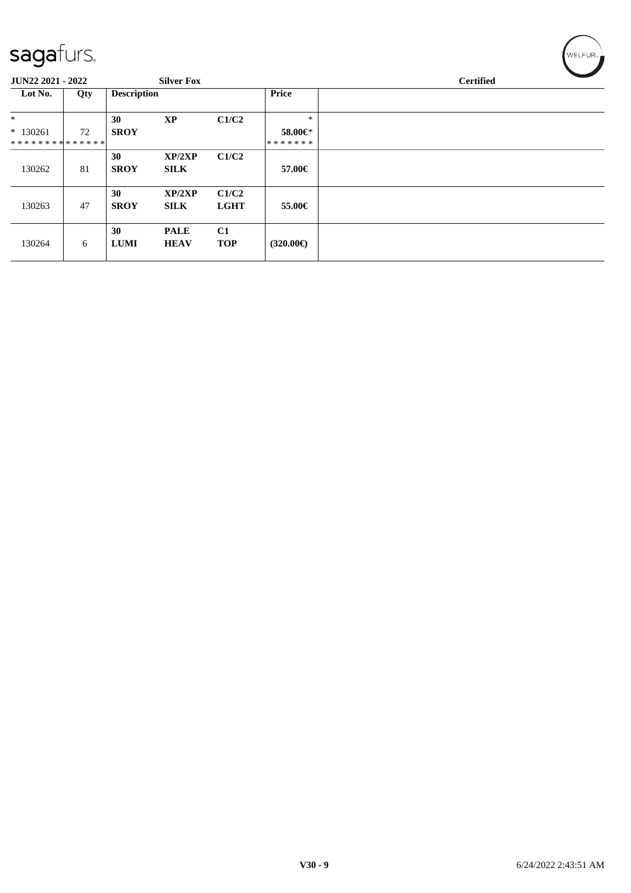| sagafurs.                     |     |                    |                            |                      |                    | WELFUR <sub>™</sub> |
|-------------------------------|-----|--------------------|----------------------------|----------------------|--------------------|---------------------|
| JUN22 2021 - 2022             |     |                    | <b>Silver Fox</b>          |                      |                    | <b>Certified</b>    |
| Lot No.                       | Qty | <b>Description</b> |                            |                      | Price              |                     |
| $\ast$                        |     | 30                 | <b>XP</b>                  | C1/C2                | ∗                  |                     |
| $* 130261$                    | 72  | <b>SROY</b>        |                            |                      | 58.00€*            |                     |
| * * * * * * * * * * * * * * * |     |                    |                            |                      | *******            |                     |
| 130262                        | 81  | 30<br><b>SROY</b>  | XP/2XP<br><b>SILK</b>      | C1/C2                | 57.00€             |                     |
| 130263                        | 47  | 30<br><b>SROY</b>  | XP/2XP<br><b>SILK</b>      | C1/C2<br><b>LGHT</b> | 55.00€             |                     |
| 130264                        | 6   | 30<br><b>LUMI</b>  | <b>PALE</b><br><b>HEAV</b> | C1<br><b>TOP</b>     | $(320.00\epsilon)$ |                     |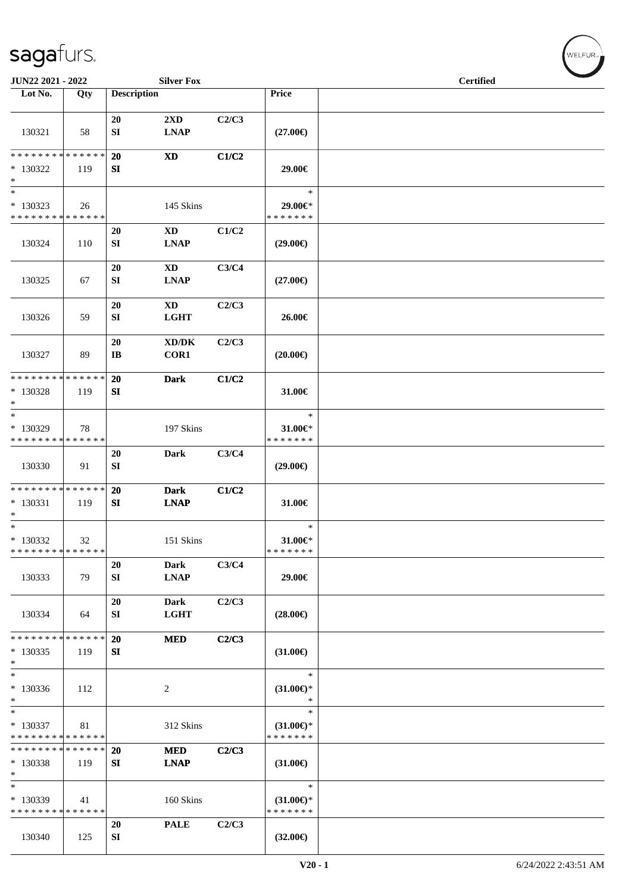| JUN22 2021 - 2022                        |     |                       | <b>Silver Fox</b>                   |       |                               | <b>Certified</b> |  |
|------------------------------------------|-----|-----------------------|-------------------------------------|-------|-------------------------------|------------------|--|
| Lot No.                                  | Qty | <b>Description</b>    |                                     |       | Price                         |                  |  |
|                                          |     |                       |                                     |       |                               |                  |  |
|                                          |     | 20                    | 2XD                                 | C2/C3 |                               |                  |  |
| 130321                                   | 58  | SI                    | <b>LNAP</b>                         |       | $(27.00\epsilon)$             |                  |  |
|                                          |     |                       |                                     |       |                               |                  |  |
| * * * * * * * * * * * * * *              |     | 20                    | $\mathbf{X}\mathbf{D}$              | C1/C2 |                               |                  |  |
| * 130322                                 | 119 | SI                    |                                     |       | 29.00€                        |                  |  |
| $\ast$                                   |     |                       |                                     |       |                               |                  |  |
| $\ast$                                   |     |                       |                                     |       | $\ast$                        |                  |  |
| $*130323$<br>* * * * * * * * * * * * * * | 26  |                       | 145 Skins                           |       | 29.00€*<br>* * * * * * *      |                  |  |
|                                          |     |                       | $\mathbf{X}\mathbf{D}$              |       |                               |                  |  |
| 130324                                   | 110 | 20<br>SI              | <b>LNAP</b>                         | C1/C2 | $(29.00\epsilon)$             |                  |  |
|                                          |     |                       |                                     |       |                               |                  |  |
|                                          |     | 20                    | <b>XD</b>                           | C3/C4 |                               |                  |  |
| 130325                                   | 67  | SI                    | <b>LNAP</b>                         |       | $(27.00\epsilon)$             |                  |  |
|                                          |     |                       |                                     |       |                               |                  |  |
|                                          |     | 20                    | <b>XD</b>                           | C2/C3 |                               |                  |  |
| 130326                                   | 59  | SI                    | <b>LGHT</b>                         |       | 26.00€                        |                  |  |
|                                          |     |                       |                                     |       |                               |                  |  |
|                                          |     | 20                    | $\bold{X}\bold{D}/\bold{D}\bold{K}$ | C2/C3 |                               |                  |  |
| 130327                                   | 89  | $\mathbf{I}$ <b>B</b> | COR1                                |       | $(20.00\epsilon)$             |                  |  |
| * * * * * * * * * * * * * * *            |     |                       |                                     |       |                               |                  |  |
|                                          |     | 20                    | <b>Dark</b>                         | C1/C2 |                               |                  |  |
| * 130328<br>$\ast$                       | 119 | SI                    |                                     |       | 31.00€                        |                  |  |
| $\ast$                                   |     |                       |                                     |       | $\ast$                        |                  |  |
| * 130329                                 | 78  |                       | 197 Skins                           |       | 31.00€*                       |                  |  |
| * * * * * * * * * * * * * *              |     |                       |                                     |       | * * * * * * *                 |                  |  |
|                                          |     | 20                    | <b>Dark</b>                         | C3/C4 |                               |                  |  |
| 130330                                   | 91  | SI                    |                                     |       | $(29.00\epsilon)$             |                  |  |
|                                          |     |                       |                                     |       |                               |                  |  |
| * * * * * * * * * * * * * *              |     | 20                    | <b>Dark</b>                         | C1/C2 |                               |                  |  |
| * 130331                                 | 119 | SI                    | <b>LNAP</b>                         |       | 31.00€                        |                  |  |
| $*$<br>$*$                               |     |                       |                                     |       | $\ast$                        |                  |  |
| $* 130332$                               |     |                       | 151 Skins                           |       | $31.00 \in$ *                 |                  |  |
| * * * * * * * * * * * * * *              | 32  |                       |                                     |       | * * * * * * *                 |                  |  |
|                                          |     | 20                    | Dark                                | C3/C4 |                               |                  |  |
| 130333                                   | 79  | SI                    | <b>LNAP</b>                         |       | 29.00€                        |                  |  |
|                                          |     |                       |                                     |       |                               |                  |  |
|                                          |     | 20                    | Dark                                | C2/C3 |                               |                  |  |
| 130334                                   | 64  | SI                    | <b>LGHT</b>                         |       | $(28.00\epsilon)$             |                  |  |
|                                          |     |                       |                                     |       |                               |                  |  |
| * * * * * * * * * * * * * *              |     | 20                    | <b>MED</b>                          | C2/C3 |                               |                  |  |
| $*130335$                                | 119 | SI                    |                                     |       | $(31.00\epsilon)$             |                  |  |
| $*$<br>$\ast$                            |     |                       |                                     |       | $\ast$                        |                  |  |
| $*130336$                                |     |                       |                                     |       |                               |                  |  |
| $*$                                      | 112 |                       | 2                                   |       | $(31.00\epsilon)$ *<br>$\ast$ |                  |  |
| $\ast$                                   |     |                       |                                     |       | $\ast$                        |                  |  |
| * 130337                                 | 81  |                       | 312 Skins                           |       | $(31.00\epsilon)$ *           |                  |  |
| * * * * * * * * * * * * * *              |     |                       |                                     |       | * * * * * * *                 |                  |  |
| * * * * * * * * * * * * * *              |     | <b>20</b>             | <b>MED</b>                          | C2/C3 |                               |                  |  |
| * 130338                                 | 119 | SI                    | <b>LNAP</b>                         |       | $(31.00\epsilon)$             |                  |  |
| $\ast$                                   |     |                       |                                     |       |                               |                  |  |
| $\ast$                                   |     |                       |                                     |       | $\ast$                        |                  |  |
| * 130339                                 | 41  |                       | 160 Skins                           |       | $(31.00\epsilon)$ *           |                  |  |
| * * * * * * * * * * * * * *              |     |                       |                                     |       | * * * * * * *                 |                  |  |
|                                          |     | 20                    | <b>PALE</b>                         | C2/C3 |                               |                  |  |
| 130340                                   | 125 | SI                    |                                     |       | $(32.00\epsilon)$             |                  |  |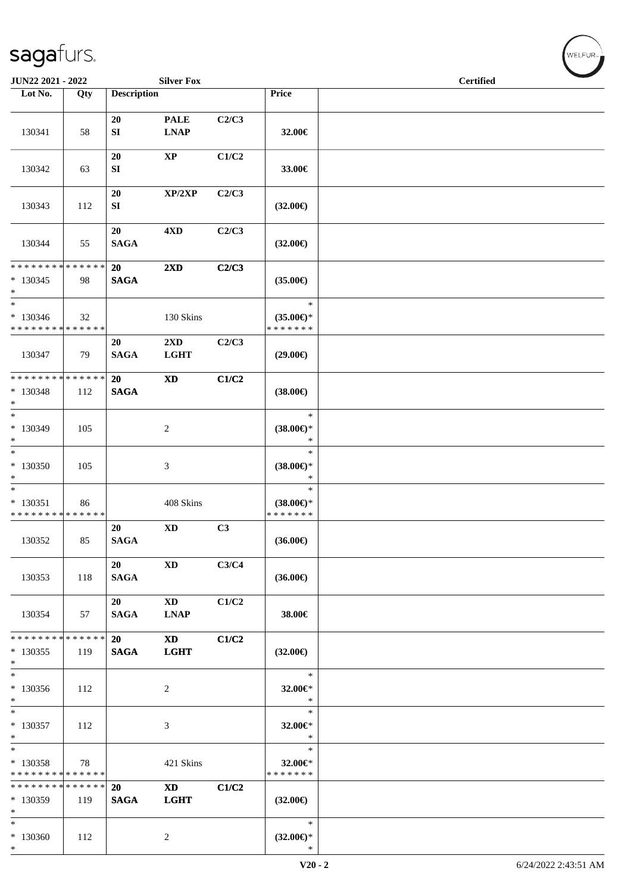| JUN22 2021 - 2022                                   |     |                       | <b>Silver Fox</b>                      |       |                                                | <b>Certified</b> |  |
|-----------------------------------------------------|-----|-----------------------|----------------------------------------|-------|------------------------------------------------|------------------|--|
| Lot No.                                             | Qty | <b>Description</b>    |                                        |       | Price                                          |                  |  |
| 130341                                              | 58  | 20<br>SI              | <b>PALE</b><br><b>LNAP</b>             | C2/C3 | 32.00€                                         |                  |  |
| 130342                                              | 63  | 20<br>SI              | $\mathbf{XP}$                          | C1/C2 | 33.00€                                         |                  |  |
| 130343                                              | 112 | 20<br>SI              | XP/2XP                                 | C2/C3 | $(32.00\epsilon)$                              |                  |  |
| 130344                                              | 55  | 20<br>$\mathbf{SAGA}$ | 4 <sub>AD</sub>                        | C2/C3 | $(32.00\epsilon)$                              |                  |  |
| * * * * * * * * * * * * * * *<br>$* 130345$<br>$*$  | 98  | 20<br><b>SAGA</b>     | $2\mathbf{X}\mathbf{D}$                | C2/C3 | $(35.00\epsilon)$                              |                  |  |
| $\ast$<br>$*130346$<br>* * * * * * * * * * * * * *  | 32  |                       | 130 Skins                              |       | $\ast$<br>$(35.00\epsilon)$ *<br>* * * * * * * |                  |  |
| 130347                                              | 79  | 20<br><b>SAGA</b>     | $2\mathbf{X}\mathbf{D}$<br><b>LGHT</b> | C2/C3 | $(29.00\epsilon)$                              |                  |  |
| * * * * * * * * * * * * * * *<br>* 130348<br>$\ast$ | 112 | 20<br><b>SAGA</b>     | <b>XD</b>                              | C1/C2 | $(38.00\epsilon)$                              |                  |  |
| $*$<br>$* 130349$<br>$*$                            | 105 |                       | 2                                      |       | $\ast$<br>$(38.00\epsilon)$ *<br>$\ast$        |                  |  |
| $\overline{\ast}$<br>$*130350$<br>$\ast$            | 105 |                       | $\ensuremath{\mathfrak{Z}}$            |       | $\ast$<br>$(38.00\epsilon)$ *<br>$\ast$        |                  |  |
| $*$<br>$* 130351$<br>* * * * * * * * * * * * * *    | 86  |                       | 408 Skins                              |       | $\ast$<br>$(38.00\epsilon)$ *<br>* * * * * * * |                  |  |
| 130352                                              | 85  | 20<br><b>SAGA</b>     | $\mathbf{X}\mathbf{D}$                 | C3    | $(36.00\epsilon)$                              |                  |  |
| 130353                                              | 118 | 20<br><b>SAGA</b>     | $\mathbf{X}\mathbf{D}$                 | C3/C4 | $(36.00\epsilon)$                              |                  |  |
| 130354                                              | 57  | 20<br><b>SAGA</b>     | $\mathbf{X}\mathbf{D}$<br><b>LNAP</b>  | C1/C2 | 38.00€                                         |                  |  |
| * * * * * * * * * * * * * * *<br>$*130355$<br>$*$   | 119 | 20<br><b>SAGA</b>     | <b>XD</b><br><b>LGHT</b>               | C1/C2 | $(32.00\epsilon)$                              |                  |  |
| $\overline{\phantom{0}}$<br>$*130356$<br>$*$        | 112 |                       | 2                                      |       | $\ast$<br>32.00€*<br>$\ast$                    |                  |  |
| $*$<br>$* 130357$<br>$*$                            | 112 |                       | 3                                      |       | $\ast$<br>32.00€*<br>$\ast$                    |                  |  |
| $*$<br>* 130358<br>* * * * * * * * * * * * * * *    | 78  |                       | 421 Skins                              |       | $\ast$<br>32.00€*<br>* * * * * * *             |                  |  |
| * * * * * * * * * * * * * *<br>$*130359$<br>$*$     | 119 | 20<br><b>SAGA</b>     | $\mathbf{X}\mathbf{D}$<br><b>LGHT</b>  | C1/C2 | $(32.00\epsilon)$                              |                  |  |
| $*$<br>$*130360$<br>$*$                             | 112 |                       | $\overline{c}$                         |       | $\ast$<br>$(32.00\epsilon)$ *<br>$\ast$        |                  |  |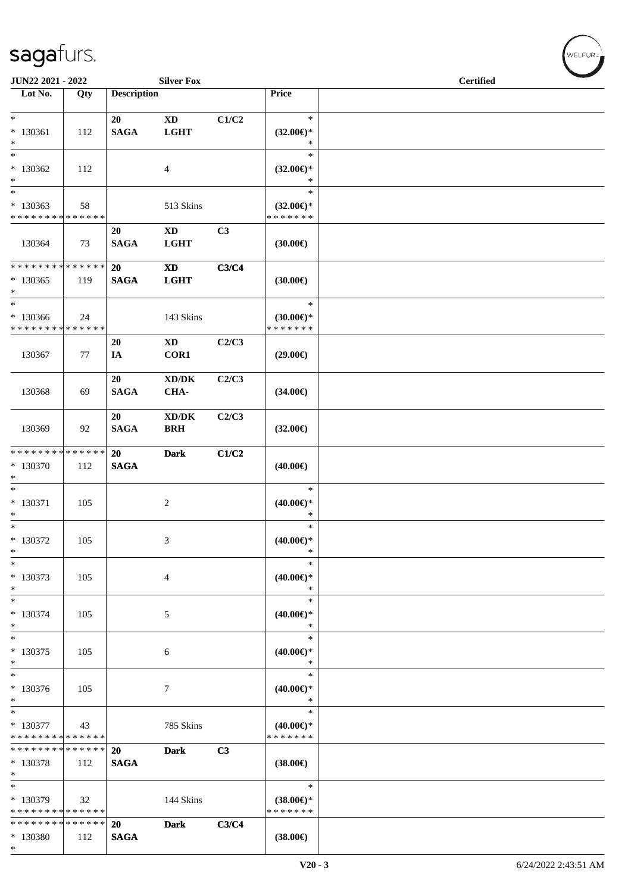| JUN22 2021 - 2022                                 |                    |                       | <b>Silver Fox</b>                           |                |                                                | $\overline{\phantom{a}}$<br><b>Certified</b> |
|---------------------------------------------------|--------------------|-----------------------|---------------------------------------------|----------------|------------------------------------------------|----------------------------------------------|
| Lot No.                                           | Qty                | <b>Description</b>    |                                             |                | Price                                          |                                              |
| $*$<br>$* 130361$<br>$\ast$                       | 112                | 20<br><b>SAGA</b>     | $\mathbf{X}\mathbf{D}$<br><b>LGHT</b>       | C1/C2          | $\ast$<br>$(32.00\epsilon)$ *<br>$\ast$        |                                              |
| $\ast$<br>$*130362$<br>$\ast$                     | 112                |                       | 4                                           |                | $\ast$<br>$(32.00\epsilon)$ *<br>$\ast$        |                                              |
| $\ast$<br>* 130363<br>* * * * * * * * * * * * * * | 58                 |                       | 513 Skins                                   |                | $\ast$<br>$(32.00\epsilon)$ *<br>* * * * * * * |                                              |
| 130364                                            | 73                 | 20<br><b>SAGA</b>     | $\mathbf{X}\mathbf{D}$<br><b>LGHT</b>       | C <sub>3</sub> | (30.00)                                        |                                              |
| * * * * * * * * * * * * * * *<br>$*130365$<br>$*$ | 119                | 20<br>$\mathbf{SAGA}$ | $\mathbf{X}\mathbf{D}$<br><b>LGHT</b>       | C3/C4          | (30.00)                                        |                                              |
| $*$<br>* 130366<br>* * * * * * * * * * * * * *    | 24                 |                       | 143 Skins                                   |                | $\ast$<br>$(30.00\epsilon)$ *<br>* * * * * * * |                                              |
| 130367                                            | 77                 | 20<br>IA              | $\mathbf{X}\mathbf{D}$<br>COR1              | C2/C3          | $(29.00\epsilon)$                              |                                              |
| 130368                                            | 69                 | 20<br><b>SAGA</b>     | $\bold{X}\bold{D}/\bold{D}\bold{K}$<br>CHA- | C2/C3          | $(34.00\epsilon)$                              |                                              |
| 130369                                            | 92                 | 20<br><b>SAGA</b>     | XD/DK<br><b>BRH</b>                         | C2/C3          | $(32.00\epsilon)$                              |                                              |
| * * * * * * * * * * * * * *<br>* 130370<br>$\ast$ | 112                | 20<br><b>SAGA</b>     | <b>Dark</b>                                 | C1/C2          | $(40.00\epsilon)$                              |                                              |
| $\ast$<br>$* 130371$<br>$\ast$                    | 105                |                       | $\boldsymbol{2}$                            |                | $\ast$<br>$(40.00\epsilon)$ *<br>$\ast$        |                                              |
| $*$<br>$* 130372$<br>$\ast$                       | 105                |                       | 3                                           |                | $\ast$<br>$(40.00\epsilon)$ *<br>$\ast$        |                                              |
| $\ast$<br>* 130373<br>$\ast$                      | 105                |                       | 4                                           |                | $\ast$<br>$(40.00\epsilon)$ *<br>$\ast$        |                                              |
| $\ast$<br>* 130374<br>$\ast$                      | 105                |                       | 5                                           |                | $\ast$<br>$(40.00\epsilon)$ *<br>$\ast$        |                                              |
| $\ast$<br>* 130375<br>$\ast$                      | 105                |                       | 6                                           |                | $\ast$<br>$(40.00\epsilon)$ *<br>$\ast$        |                                              |
| $\overline{\ast}$<br>* 130376<br>$*$              | 105                |                       | 7                                           |                | $\ast$<br>$(40.00\epsilon)$ *<br>$\ast$        |                                              |
| $\ast$<br>* 130377<br>* * * * * * * *             | 43<br>* * * * * *  |                       | 785 Skins                                   |                | $\ast$<br>$(40.00\epsilon)$ *<br>* * * * * * * |                                              |
| * * * * * * * *<br>* 130378<br>$*$                | * * * * * *<br>112 | 20<br><b>SAGA</b>     | <b>Dark</b>                                 | C3             | $(38.00\epsilon)$                              |                                              |
| $\ast$<br>* 130379<br>* * * * * * * * * * * * * * | 32                 |                       | 144 Skins                                   |                | $\ast$<br>$(38.00\epsilon)$ *<br>* * * * * * * |                                              |
| * * * * * * * * * * * * * *<br>* 130380<br>$*$    | 112                | 20<br><b>SAGA</b>     | <b>Dark</b>                                 | C3/C4          | $(38.00\epsilon)$                              |                                              |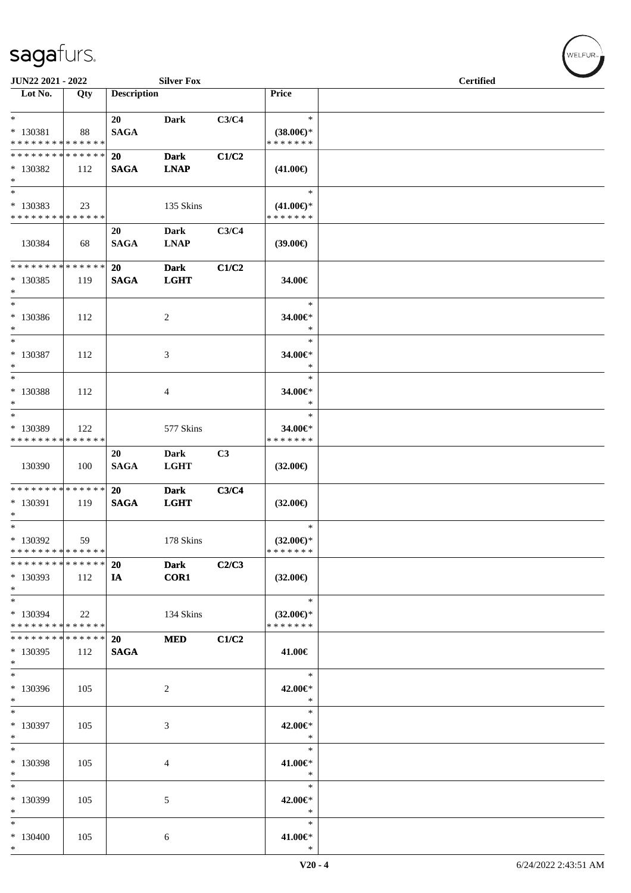| JUN22 2021 - 2022                                  |     |                          | <b>Silver Fox</b>          |                |                                                | <b>Certified</b> |
|----------------------------------------------------|-----|--------------------------|----------------------------|----------------|------------------------------------------------|------------------|
| Lot No.                                            | Qty | <b>Description</b>       |                            |                | Price                                          |                  |
| $*$<br>* 130381<br>* * * * * * * * * * * * * *     | 88  | 20<br><b>SAGA</b>        | <b>Dark</b>                | C3/C4          | $\ast$<br>$(38.00\epsilon)$ *<br>* * * * * * * |                  |
| * * * * * * * * * * * * * *<br>* 130382<br>$*$     | 112 | 20<br><b>SAGA</b>        | <b>Dark</b><br><b>LNAP</b> | C1/C2          | $(41.00\epsilon)$                              |                  |
| $*$<br>* 130383<br>* * * * * * * * * * * * * *     | 23  |                          | 135 Skins                  |                | $\ast$<br>$(41.00\epsilon)$ *<br>* * * * * * * |                  |
| 130384                                             | 68  | 20<br><b>SAGA</b>        | Dark<br><b>LNAP</b>        | C3/C4          | $(39.00\epsilon)$                              |                  |
| * * * * * * * * * * * * * * *<br>$*$ 130385<br>$*$ | 119 | 20<br><b>SAGA</b>        | <b>Dark</b><br><b>LGHT</b> | C1/C2          | 34.00€                                         |                  |
| $*$<br>* 130386<br>$*$                             | 112 |                          | $\overline{c}$             |                | $\ast$<br>34.00€*<br>$\ast$                    |                  |
| $*$<br>$* 130387$<br>$*$                           | 112 |                          | 3                          |                | $\ast$<br>34.00€*<br>$\ast$                    |                  |
| $*$<br>$* 130388$<br>$*$                           | 112 |                          | 4                          |                | $\ast$<br>34.00€*<br>$\ast$                    |                  |
| $*$<br>* 130389<br>* * * * * * * * * * * * * *     | 122 |                          | 577 Skins                  |                | $\ast$<br>34.00€*<br>* * * * * * *             |                  |
| 130390                                             | 100 | 20<br><b>SAGA</b>        | Dark<br><b>LGHT</b>        | C <sub>3</sub> | $(32.00\epsilon)$                              |                  |
| * * * * * * * * * * * * * * *<br>$* 130391$<br>$*$ | 119 | 20<br><b>SAGA</b>        | <b>Dark</b><br><b>LGHT</b> | C3/C4          | $(32.00\epsilon)$                              |                  |
| $*$<br>$*130392$<br>* * * * * * * * * * * * * * *  | 59  |                          | 178 Skins                  |                | $\ast$<br>$(32.00\epsilon)$ *<br>*******       |                  |
| * * * * * * * * * * * * * *<br>* 130393<br>$*$     | 112 | 20<br>IA                 | <b>Dark</b><br>COR1        | C2/C3          | $(32.00\epsilon)$                              |                  |
| $*$<br>* 130394<br>* * * * * * * * * * * * * *     | 22  |                          | 134 Skins                  |                | $\ast$<br>$(32.00\epsilon)$ *<br>* * * * * * * |                  |
| * * * * * * * * * * * * * *<br>* 130395<br>$*$     | 112 | <b>20</b><br><b>SAGA</b> | <b>MED</b>                 | C1/C2          | 41.00€                                         |                  |
| $*$<br>* 130396<br>$*$                             | 105 |                          | 2                          |                | $\ast$<br>42.00€*<br>$\ast$                    |                  |
| $\ast$<br>* 130397<br>$*$                          | 105 |                          | 3                          |                | $\ast$<br>42.00€*<br>$\ast$                    |                  |
| $*$<br>* 130398<br>$*$                             | 105 |                          | 4                          |                | $\ast$<br>41.00€*<br>$\ast$                    |                  |
| $\ast$<br>* 130399<br>$*$                          | 105 |                          | 5                          |                | $\ast$<br>42.00€*<br>$\ast$                    |                  |
| $*$<br>$*130400$<br>$*$                            | 105 |                          | 6                          |                | $\ast$<br>41.00€*<br>$\ast$                    |                  |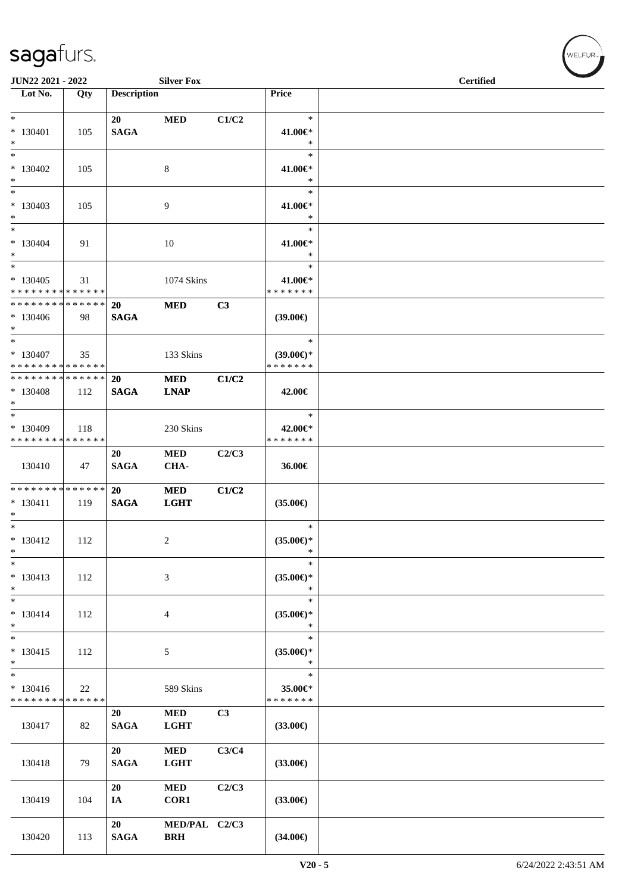| JUN22 2021 - 2022                                                 |      |                          | <b>Silver Fox</b>           |       |                                         | <b>Certified</b> |
|-------------------------------------------------------------------|------|--------------------------|-----------------------------|-------|-----------------------------------------|------------------|
| Lot No.                                                           | Qty  | <b>Description</b>       |                             |       | Price                                   |                  |
| $*$                                                               |      | 20                       | <b>MED</b>                  | C1/C2 | $\ast$                                  |                  |
| $* 130401$<br>$*$                                                 | 105  | <b>SAGA</b>              |                             |       | 41.00€*<br>$\ast$                       |                  |
| $*$<br>* 130402<br>$*$                                            | 105  |                          | 8                           |       | $\ast$<br>41.00€*<br>$\ast$             |                  |
| $*$<br>$*130403$<br>$*$                                           | 105  |                          | 9                           |       | $\ast$<br>41.00€*<br>$\ast$             |                  |
| $*$ $-$<br>$* 130404$<br>$*$                                      | 91   |                          | 10                          |       | $\ast$<br>41.00€*<br>$\ast$             |                  |
| $\ast$<br>$*130405$<br>* * * * * * * * <mark>* * * * * * *</mark> | 31   |                          | 1074 Skins                  |       | $\ast$<br>41.00€*<br>* * * * * * *      |                  |
| * * * * * * * * * * * * * * <mark>*</mark><br>$*130406$<br>$*$    | - 98 | <b>20</b><br><b>SAGA</b> | <b>MED</b>                  | C3    | $(39.00\epsilon)$                       |                  |
| $*$<br>$*130407$<br>* * * * * * * * * * * * * *                   | 35   |                          | 133 Skins                   |       | $\ast$<br>$(39.00€)$ *<br>* * * * * * * |                  |
| * * * * * * * * <mark>* * * * * * *</mark><br>$*130408$<br>$*$    | 112  | 20<br><b>SAGA</b>        | <b>MED</b><br><b>LNAP</b>   | C1/C2 | 42.00€                                  |                  |
| $*130409$<br>* * * * * * * * * * * * * *                          | 118  |                          | 230 Skins                   |       | $\ast$<br>42.00€*<br>* * * * * * *      |                  |
| 130410                                                            | 47   | 20<br><b>SAGA</b>        | <b>MED</b><br>CHA-          | C2/C3 | 36.00€                                  |                  |
| * * * * * * * * <mark>* * * * * * *</mark><br>$* 130411$<br>$*$   | 119  | 20<br><b>SAGA</b>        | <b>MED</b><br><b>LGHT</b>   | C1/C2 | $(35.00\epsilon)$                       |                  |
| $*$ $-$<br>$* 130412$<br>$\ast$                                   | 112  |                          | 2                           |       | $\ast$<br>$(35.00\epsilon)$ *<br>$\ast$ |                  |
| $\ast$<br>$* 130413$<br>$\ast$                                    | 112  |                          | 3                           |       | $\ast$<br>$(35.00\epsilon)$ *<br>$\ast$ |                  |
| $*$<br>$* 130414$<br>$*$                                          | 112  |                          | $\overline{4}$              |       | $\ast$<br>$(35.00\epsilon)$ *<br>$\ast$ |                  |
| $* 130415$<br>$\ast$                                              | 112  |                          | 5                           |       | $\ast$<br>$(35.00\epsilon)$ *<br>$\ast$ |                  |
| $_{*}$<br>$* 130416$<br>* * * * * * * * * * * * * *               | 22   |                          | 589 Skins                   |       | $\ast$<br>35.00€*<br>* * * * * * *      |                  |
| 130417                                                            | 82   | 20<br><b>SAGA</b>        | $\bf MED$<br><b>LGHT</b>    | C3    | $(33.00\epsilon)$                       |                  |
| 130418                                                            | 79   | 20<br>$\mathbf{SAGA}$    | $\bf MED$<br><b>LGHT</b>    | C3/C4 | $(33.00\epsilon)$                       |                  |
| 130419                                                            | 104  | 20<br>IA                 | <b>MED</b><br>COR1          | C2/C3 | $(33.00\epsilon)$                       |                  |
| 130420                                                            | 113  | 20<br>$\mathbf{SAGA}$    | MED/PAL C2/C3<br><b>BRH</b> |       | $(34.00\epsilon)$                       |                  |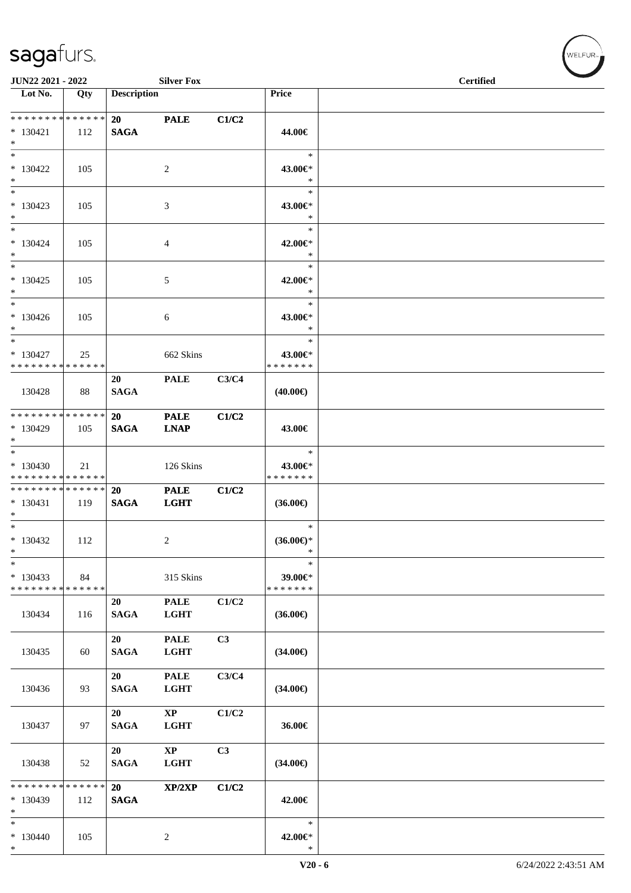| JUN22 2021 - 2022                                  |                    |                          | <b>Silver Fox</b>            |       |                                         | <b>Certified</b> |  |
|----------------------------------------------------|--------------------|--------------------------|------------------------------|-------|-----------------------------------------|------------------|--|
| $\overline{\phantom{1}}$ Lot No.                   | Qty                | <b>Description</b>       |                              |       | Price                                   |                  |  |
| * * * * * * * * * * * * * *<br>$*130421$<br>$*$    | 112                | 20<br><b>SAGA</b>        | <b>PALE</b>                  | C1/C2 | 44.00€                                  |                  |  |
| $*$<br>$*130422$<br>$*$                            | 105                |                          | 2                            |       | $\ast$<br>43.00€*<br>$\ast$             |                  |  |
| $*$<br>$* 130423$<br>$*$                           | 105                |                          | 3                            |       | $\ast$<br>43.00€*<br>$\ast$             |                  |  |
| $*$<br>$* 130424$<br>$*$                           | 105                |                          | 4                            |       | $\ast$<br>42.00€*<br>$\ast$             |                  |  |
| $*$<br>$* 130425$<br>$*$                           | 105                |                          | 5                            |       | $\ast$<br>42.00€*<br>$\ast$             |                  |  |
| $*$<br>$* 130426$<br>$*$                           | 105                |                          | 6                            |       | $\ast$<br>43.00€*<br>$\ast$             |                  |  |
| $*$<br>$* 130427$<br>* * * * * * * * * * * * * *   | 25                 |                          | 662 Skins                    |       | $\ast$<br>43.00€*<br>* * * * * * *      |                  |  |
| 130428                                             | 88                 | 20<br><b>SAGA</b>        | <b>PALE</b>                  | C3/C4 | $(40.00\epsilon)$                       |                  |  |
| ******** <mark>******</mark><br>* 130429<br>$*$    | 105                | <b>20</b><br><b>SAGA</b> | <b>PALE</b><br><b>LNAP</b>   | C1/C2 | 43.00€                                  |                  |  |
| $*$<br>$*130430$<br>* * * * * * * * * * * * * *    | 21                 |                          | 126 Skins                    |       | $\ast$<br>43.00€*<br>* * * * * * *      |                  |  |
| * * * * * * * * * * * * * *<br>$* 130431$<br>$*$   | 119                | 20<br><b>SAGA</b>        | <b>PALE</b><br><b>LGHT</b>   | C1/C2 | $(36.00\epsilon)$                       |                  |  |
| $*$<br>* 130432<br>$\ast$                          | 112                |                          | 2                            |       | $\ast$<br>$(36.00\epsilon)$ *<br>$\ast$ |                  |  |
| $\ast$<br>$*130433$<br>* * * * * * * * * * * * * * | 84                 |                          | 315 Skins                    |       | $\ast$<br>39.00€*<br>* * * * * * *      |                  |  |
| 130434                                             | 116                | 20<br><b>SAGA</b>        | <b>PALE</b><br><b>LGHT</b>   | C1/C2 | $(36.00\epsilon)$                       |                  |  |
| 130435                                             | 60                 | 20<br><b>SAGA</b>        | <b>PALE</b><br><b>LGHT</b>   | C3    | $(34.00\epsilon)$                       |                  |  |
| 130436                                             | 93                 | 20<br><b>SAGA</b>        | <b>PALE</b><br><b>LGHT</b>   | C3/C4 | $(34.00\epsilon)$                       |                  |  |
| 130437                                             | 97                 | 20<br><b>SAGA</b>        | $\bold{XP}$<br><b>LGHT</b>   | C1/C2 | 36.00€                                  |                  |  |
| 130438                                             | 52                 | 20<br><b>SAGA</b>        | $\mathbf{XP}$<br><b>LGHT</b> | C3    | $(34.00\epsilon)$                       |                  |  |
| * * * * * * * *<br>$*130439$<br>$*$                | * * * * * *<br>112 | 20<br><b>SAGA</b>        | XP/2XP                       | C1/C2 | 42.00€                                  |                  |  |
| $*$<br>$*130440$<br>$*$                            | 105                |                          | $\overline{c}$               |       | $\ast$<br>42.00€*<br>$\ast$             |                  |  |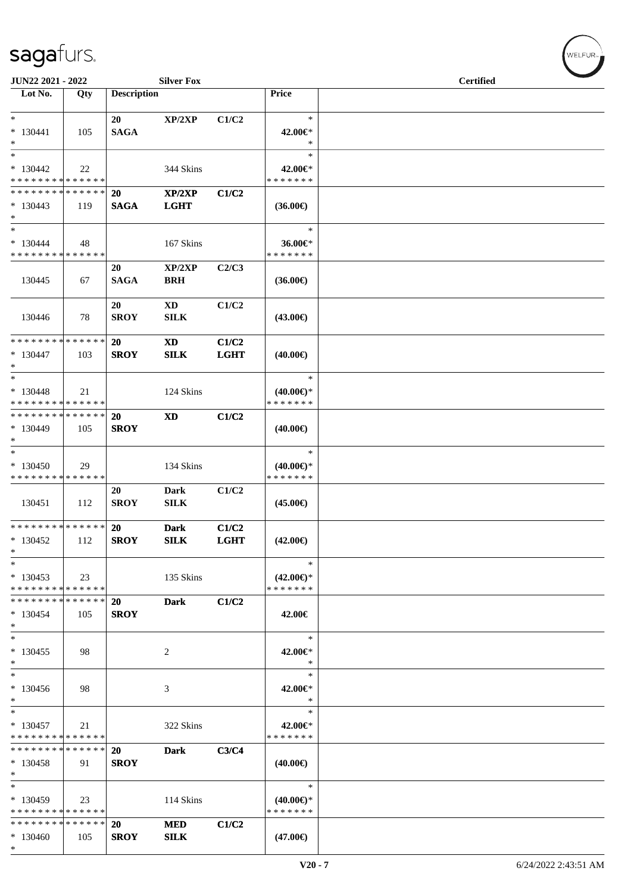\*

| <b>JUN22 2021 - 2022</b>                   |        |                    | <b>Silver Fox</b>      |             |                     | <b>Certified</b> |  |
|--------------------------------------------|--------|--------------------|------------------------|-------------|---------------------|------------------|--|
| Lot No.                                    | Qty    | <b>Description</b> |                        |             | Price               |                  |  |
|                                            |        |                    |                        |             |                     |                  |  |
| $\ast$                                     |        | 20                 | XP/2XP                 | C1/C2       | $\ast$              |                  |  |
| $* 130441$                                 | 105    | <b>SAGA</b>        |                        |             | 42.00€*             |                  |  |
| $\ast$                                     |        |                    |                        |             | $\ast$              |                  |  |
| $\ast$                                     |        |                    |                        |             | $\ast$              |                  |  |
| $*130442$                                  | 22     |                    | 344 Skins              |             | 42.00€*             |                  |  |
| * * * * * * * * <mark>* * * * * * *</mark> |        |                    |                        |             | * * * * * * *       |                  |  |
| * * * * * * * * <mark>* * * * * * *</mark> |        | <b>20</b>          | XP/2XP                 | C1/C2       |                     |                  |  |
| $*130443$                                  | 119    | <b>SAGA</b>        | <b>LGHT</b>            |             | $(36.00\epsilon)$   |                  |  |
| $\ast$                                     |        |                    |                        |             |                     |                  |  |
| $\ast$                                     |        |                    |                        |             | $\ast$              |                  |  |
|                                            |        |                    |                        |             |                     |                  |  |
| $* 130444$                                 | 48     |                    | 167 Skins              |             | 36.00€*             |                  |  |
| * * * * * * * * <mark>* * * * * * *</mark> |        |                    |                        |             | * * * * * * *       |                  |  |
|                                            |        | 20                 | XP/2XP                 | C2/C3       |                     |                  |  |
| 130445                                     | 67     | <b>SAGA</b>        | <b>BRH</b>             |             | $(36.00\epsilon)$   |                  |  |
|                                            |        |                    |                        |             |                     |                  |  |
|                                            |        | 20                 | $\mathbf{X}\mathbf{D}$ | C1/C2       |                     |                  |  |
| 130446                                     | 78     | <b>SROY</b>        | <b>SILK</b>            |             | $(43.00\epsilon)$   |                  |  |
|                                            |        |                    |                        |             |                     |                  |  |
| * * * * * * * * <mark>* * * * * * *</mark> |        | 20                 | <b>XD</b>              | C1/C2       |                     |                  |  |
| $* 130447$                                 | 103    | <b>SROY</b>        | ${\bf SILK}$           | <b>LGHT</b> |                     |                  |  |
| $*$                                        |        |                    |                        |             | $(40.00\epsilon)$   |                  |  |
|                                            |        |                    |                        |             |                     |                  |  |
| $*$                                        |        |                    |                        |             | $\ast$              |                  |  |
| $* 130448$                                 | 21     |                    | 124 Skins              |             | $(40.00€)$ *        |                  |  |
| * * * * * * * * <mark>* * * * * * *</mark> |        |                    |                        |             | * * * * * * *       |                  |  |
| * * * * * * * * <mark>* * * * * * *</mark> |        | <b>20</b>          | <b>XD</b>              | C1/C2       |                     |                  |  |
| * 130449                                   | 105    | <b>SROY</b>        |                        |             | $(40.00\epsilon)$   |                  |  |
| $\ast$                                     |        |                    |                        |             |                     |                  |  |
| $\overline{\ast}$                          |        |                    |                        |             | $\ast$              |                  |  |
| * 130450                                   | 29     |                    | 134 Skins              |             | $(40.00€)$ *        |                  |  |
| * * * * * * * * <mark>* * * * * * *</mark> |        |                    |                        |             | * * * * * * *       |                  |  |
|                                            |        | 20                 | Dark                   | C1/C2       |                     |                  |  |
| 130451                                     |        |                    |                        |             |                     |                  |  |
|                                            | 112    | <b>SROY</b>        | ${\bf SILK}$           |             | $(45.00\epsilon)$   |                  |  |
|                                            |        |                    |                        |             |                     |                  |  |
| * * * * * * * * <mark>* * * * * * *</mark> |        | <b>20</b>          | <b>Dark</b>            | C1/C2       |                     |                  |  |
| $*130452$                                  | 112    | <b>SROY</b>        | <b>SILK</b>            | <b>LGHT</b> | $(42.00\epsilon)$   |                  |  |
| $\ast$                                     |        |                    |                        |             |                     |                  |  |
| $\ast$                                     |        |                    |                        |             | $\ast$              |                  |  |
| $*130453$                                  | 23     |                    | 135 Skins              |             | $(42.00\epsilon)$ * |                  |  |
| * * * * * * * * * * * * * *                |        |                    |                        |             | * * * * * * *       |                  |  |
| * * * * * * * * * * * * * * *              |        | 20                 | <b>Dark</b>            | C1/C2       |                     |                  |  |
| $*130454$                                  | 105    | <b>SROY</b>        |                        |             | 42.00€              |                  |  |
| $\ast$                                     |        |                    |                        |             |                     |                  |  |
| $\ast$                                     |        |                    |                        |             | $\ast$              |                  |  |
|                                            |        |                    |                        |             |                     |                  |  |
| $*130455$                                  | 98     |                    | 2                      |             | 42.00€*<br>$\ast$   |                  |  |
| $\ast$<br>$\overline{\ast}$                |        |                    |                        |             |                     |                  |  |
|                                            |        |                    |                        |             | $\ast$              |                  |  |
| $*130456$                                  | 98     |                    | 3                      |             | 42.00€*             |                  |  |
| $\ast$                                     |        |                    |                        |             | $\ast$              |                  |  |
| $\ast$                                     |        |                    |                        |             | $\ast$              |                  |  |
| $*130457$                                  | 21     |                    | 322 Skins              |             | 42.00€*             |                  |  |
| * * * * * * * * * * * * * *                |        |                    |                        |             | * * * * * * *       |                  |  |
| * * * * * * * *                            | ****** | 20                 | <b>Dark</b>            | C3/C4       |                     |                  |  |
| $*130458$                                  | 91     | <b>SROY</b>        |                        |             | $(40.00\epsilon)$   |                  |  |
| $\ast$                                     |        |                    |                        |             |                     |                  |  |
| $\ast$                                     |        |                    |                        |             | $\ast$              |                  |  |
|                                            |        |                    |                        |             |                     |                  |  |
| $*130459$                                  | 23     |                    | 114 Skins              |             | $(40.00€)$ *        |                  |  |
| * * * * * * * * <mark>* * * * * *</mark>   |        |                    |                        |             | * * * * * * *       |                  |  |
| * * * * * * * * <mark>* * * * * * *</mark> |        | <b>20</b>          | <b>MED</b>             | C1/C2       |                     |                  |  |
| $*130460$                                  | 105    | <b>SROY</b>        | SLK                    |             | $(47.00\epsilon)$   |                  |  |

 $(w$ ELFUR<sub><sup>n</sub></sub></sub></sup>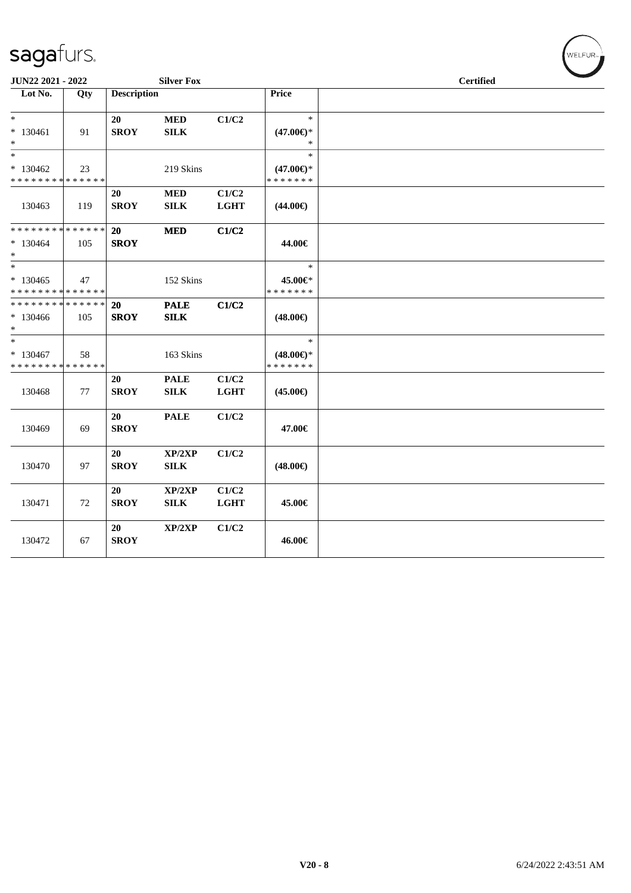| JUN22 2021 - 2022                                                    |     |                          | <b>Silver Fox</b>           |                      |                                                | <b>Certified</b> |
|----------------------------------------------------------------------|-----|--------------------------|-----------------------------|----------------------|------------------------------------------------|------------------|
| Lot No.                                                              | Qty | <b>Description</b>       |                             |                      | <b>Price</b>                                   |                  |
| $\ast$<br>$* 130461$<br>$*$                                          | 91  | 20<br><b>SROY</b>        | <b>MED</b><br><b>SILK</b>   | C1/C2                | $\ast$<br>$(47.00\epsilon)$ *<br>$\ast$        |                  |
| $*$<br>$*130462$<br>* * * * * * * * * * * * * *                      | 23  |                          | 219 Skins                   |                      | $\ast$<br>$(47.00\epsilon)$ *<br>* * * * * * * |                  |
| 130463                                                               | 119 | 20<br><b>SROY</b>        | <b>MED</b><br><b>SILK</b>   | C1/C2<br><b>LGHT</b> | $(44.00\epsilon)$                              |                  |
| ******** <mark>******</mark><br>$*130464$<br>$*$                     | 105 | <b>20</b><br><b>SROY</b> | <b>MED</b>                  | C1/C2                | 44.00€                                         |                  |
| $\overline{\phantom{0}}$<br>$*130465$<br>* * * * * * * * * * * * * * | 47  |                          | 152 Skins                   |                      | $\ast$<br>45.00€*<br>* * * * * * *             |                  |
| * * * * * * * * * * * * * * *<br>$*130466$<br>$*$                    | 105 | 20<br><b>SROY</b>        | <b>PALE</b><br>SILK         | C1/C2                | $(48.00\epsilon)$                              |                  |
| $*$<br>$* 130467$<br>* * * * * * * * * * * * * *                     | 58  |                          | 163 Skins                   |                      | $\ast$<br>$(48.00\epsilon)$ *<br>* * * * * * * |                  |
| 130468                                                               | 77  | 20<br><b>SROY</b>        | <b>PALE</b><br>${\bf SILK}$ | C1/C2<br><b>LGHT</b> | $(45.00\epsilon)$                              |                  |
| 130469                                                               | 69  | 20<br><b>SROY</b>        | <b>PALE</b>                 | C1/C2                | 47.00€                                         |                  |
| 130470                                                               | 97  | 20<br><b>SROY</b>        | XP/2XP<br><b>SILK</b>       | C1/C2                | $(48.00\epsilon)$                              |                  |
| 130471                                                               | 72  | 20<br><b>SROY</b>        | XP/2XP<br>${\bf SILK}$      | C1/C2<br><b>LGHT</b> | 45.00€                                         |                  |
| 130472                                                               | 67  | 20<br><b>SROY</b>        | XP/2XP                      | C1/C2                | 46.00€                                         |                  |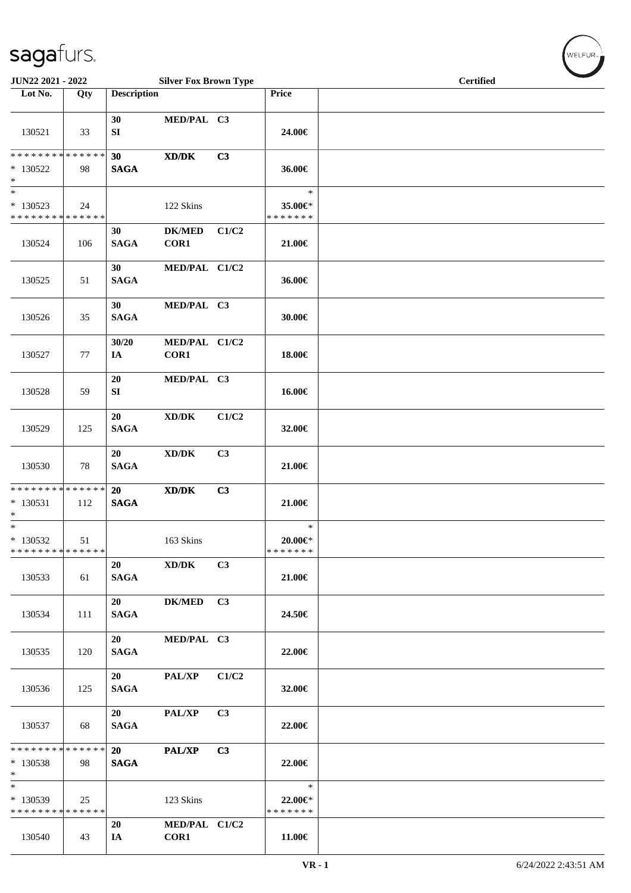| JUN22 2021 - 2022                                                   |     |                          | <b>Silver Fox Brown Type</b>                                                                         |       |                                          | <b>Certified</b> |
|---------------------------------------------------------------------|-----|--------------------------|------------------------------------------------------------------------------------------------------|-------|------------------------------------------|------------------|
| Lot No.                                                             | Qty | <b>Description</b>       |                                                                                                      |       | Price                                    |                  |
| 130521                                                              | 33  | 30<br>SI                 | MED/PAL C3                                                                                           |       | 24.00€                                   |                  |
| ******** <mark>******</mark><br>$*130522$<br>$\ast$                 | 98  | 30<br><b>SAGA</b>        | $\boldsymbol{\text{X}}\boldsymbol{\text{D}}\boldsymbol{/}\boldsymbol{\text{D}}\boldsymbol{\text{K}}$ | C3    | 36.00€                                   |                  |
| $\ast$<br>$*130523$<br>* * * * * * * * * * * * * *                  | 24  |                          | 122 Skins                                                                                            |       | $\ast$<br>35.00€*<br>* * * * * * *       |                  |
| 130524                                                              | 106 | 30<br><b>SAGA</b>        | <b>DK/MED</b><br>COR1                                                                                | C1/C2 | $21.00 \in$                              |                  |
| 130525                                                              | 51  | 30<br><b>SAGA</b>        | MED/PAL C1/C2                                                                                        |       | 36.00€                                   |                  |
| 130526                                                              | 35  | 30<br><b>SAGA</b>        | MED/PAL C3                                                                                           |       | 30.00€                                   |                  |
| 130527                                                              | 77  | 30/20<br>IA              | MED/PAL C1/C2<br>COR1                                                                                |       | 18.00€                                   |                  |
| 130528                                                              | 59  | 20<br>SI                 | MED/PAL C3                                                                                           |       | 16.00€                                   |                  |
| 130529                                                              | 125 | 20<br><b>SAGA</b>        | $\bold{X}\bold{D}/\bold{D}\bold{K}$                                                                  | C1/C2 | 32.00€                                   |                  |
| 130530                                                              | 78  | 20<br><b>SAGA</b>        | $\bold{X}\bold{D}/\bold{D}\bold{K}$                                                                  | C3    | 21.00€                                   |                  |
| ******** <mark>******</mark><br>$* 130531$<br>$\ast$                | 112 | <b>20</b><br><b>SAGA</b> | $\mathbf{X}\mathbf{D}/\mathbf{D}\mathbf{K}$                                                          | C3    | 21.00€                                   |                  |
| $\overline{\phantom{0}}$<br>* 130532<br>* * * * * * * * * * * * * * | 51  |                          | 163 Skins                                                                                            |       | $\ast$<br>$20.00 \in$ *<br>* * * * * * * |                  |
| 130533                                                              | 61  | 20<br><b>SAGA</b>        | XD/DK                                                                                                | C3    | 21.00€                                   |                  |
| 130534                                                              | 111 | 20<br><b>SAGA</b>        | DK/MED C3                                                                                            |       | 24.50€                                   |                  |
| 130535                                                              | 120 | 20<br><b>SAGA</b>        | MED/PAL C3                                                                                           |       | 22.00€                                   |                  |
| 130536                                                              | 125 | 20<br><b>SAGA</b>        | <b>PAL/XP</b>                                                                                        | C1/C2 | $32.00 \in$                              |                  |
| 130537                                                              | 68  | 20<br><b>SAGA</b>        | PAL/XP                                                                                               | C3    | 22.00€                                   |                  |
| * * * * * * * * * * * * * *<br>$*130538$<br>$*$                     | 98  | 20<br><b>SAGA</b>        | <b>PAL/XP</b>                                                                                        | C3    | 22.00€                                   |                  |
| $\overline{\phantom{0}}$<br>* 130539<br>* * * * * * * * * * * * * * | 25  |                          | 123 Skins                                                                                            |       | $\ast$<br>22.00€*<br>* * * * * * *       |                  |
| 130540                                                              | 43  | 20<br>IA                 | MED/PAL C1/C2<br>COR1                                                                                |       | 11.00€                                   |                  |

 $w$ ELFUR<sub><sup>n</sub></sub></sub></sup>